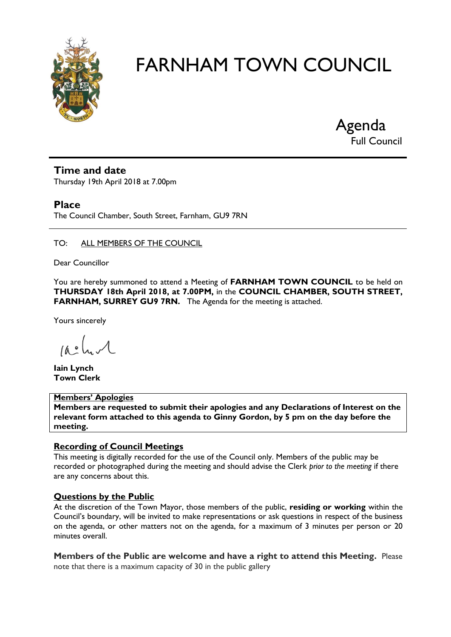

Agenda Full Council

# **Time and date**

Thursday 19th April 2018 at 7.00pm

### **Place**

The Council Chamber, South Street, Farnham, GU9 7RN

#### TO: ALL MEMBERS OF THE COUNCIL

Dear Councillor

You are hereby summoned to attend a Meeting of **FARNHAM TOWN COUNCIL** to be held on **THURSDAY 18th April 2018, at 7.00PM,** in the **COUNCIL CHAMBER, SOUTH STREET, FARNHAM, SURREY GU9 7RN.** The Agenda for the meeting is attached.

Yours sincerely

 $10.0$ 

**Iain Lynch Town Clerk**

#### **Members' Apologies**

**Members are requested to submit their apologies and any Declarations of Interest on the relevant form attached to this agenda to Ginny Gordon, by 5 pm on the day before the meeting.**

#### **Recording of Council Meetings**

This meeting is digitally recorded for the use of the Council only. Members of the public may be recorded or photographed during the meeting and should advise the Clerk *prior to the meeting* if there are any concerns about this.

#### **Questions by the Public**

At the discretion of the Town Mayor, those members of the public, **residing or working** within the Council's boundary, will be invited to make representations or ask questions in respect of the business on the agenda, or other matters not on the agenda, for a maximum of 3 minutes per person or 20 minutes overall.

**Members of the Public are welcome and have a right to attend this Meeting.** Please note that there is a maximum capacity of 30 in the public gallery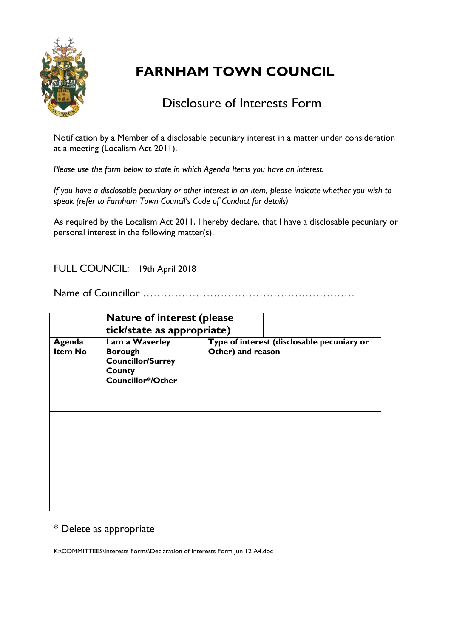

# Disclosure of Interests Form

Notification by a Member of a disclosable pecuniary interest in a matter under consideration at a meeting (Localism Act 2011).

*Please use the form below to state in which Agenda Items you have an interest.* 

*If you have a disclosable pecuniary or other interest in an item, please indicate whether you wish to speak (refer to Farnham Town Council's Code of Conduct for details)*

As required by the Localism Act 2011, I hereby declare, that I have a disclosable pecuniary or personal interest in the following matter(s).

# FULL COUNCIL: 19th April 2018

Name of Councillor ……………………………………………………

|                          | <b>Nature of interest (please</b><br>tick/state as appropriate)                              |                                                                 |  |
|--------------------------|----------------------------------------------------------------------------------------------|-----------------------------------------------------------------|--|
| Agenda<br><b>Item No</b> | I am a Waverley<br><b>Borough</b><br><b>Councillor/Surrey</b><br>County<br>Councillor*/Other | Type of interest (disclosable pecuniary or<br>Other) and reason |  |
|                          |                                                                                              |                                                                 |  |
|                          |                                                                                              |                                                                 |  |
|                          |                                                                                              |                                                                 |  |
|                          |                                                                                              |                                                                 |  |
|                          |                                                                                              |                                                                 |  |

# \* Delete as appropriate

K:\COMMITTEES\Interests Forms\Declaration of Interests Form Jun 12 A4.doc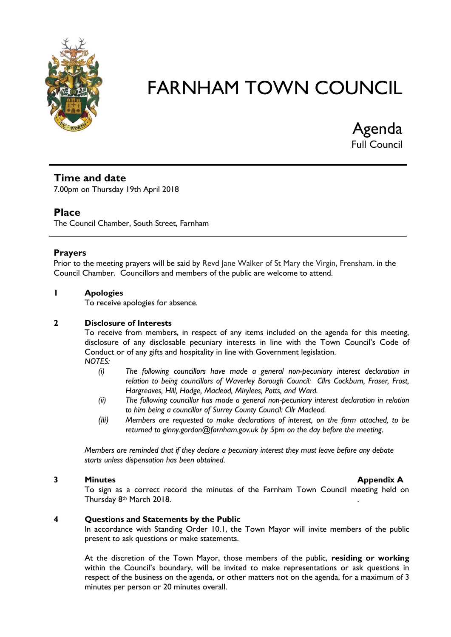

Agenda Full Council

# **Time and date**

7.00pm on Thursday 19th April 2018

# **Place**

The Council Chamber, South Street, Farnham

#### **Prayers**

Prior to the meeting prayers will be said by Revd Jane Walker of St Mary the Virgin, Frensham. in the Council Chamber. Councillors and members of the public are welcome to attend.

#### **1 Apologies**

To receive apologies for absence.

#### **2 Disclosure of Interests**

To receive from members, in respect of any items included on the agenda for this meeting, disclosure of any disclosable pecuniary interests in line with the Town Council's Code of Conduct or of any gifts and hospitality in line with Government legislation. *NOTES:*

- *(i) The following councillors have made a general non-pecuniary interest declaration in relation to being councillors of Waverley Borough Council: Cllrs Cockburn, Fraser, Frost, Hargreaves, Hill, Hodge, Macleod, Mirylees, Potts, and Ward.*
- *(ii) The following councillor has made a general non-pecuniary interest declaration in relation to him being a councillor of Surrey County Council: Cllr Macleod.*
- *(iii) Members are requested to make declarations of interest, on the form attached, to be returned to ginny.gordon@farnham.gov.uk by 5pm on the day before the meeting.*

*Members are reminded that if they declare a pecuniary interest they must leave before any debate starts unless dispensation has been obtained.*

#### **3 Minutes Minutes Appendix A**

To sign as a correct record the minutes of the Farnham Town Council meeting held on Thursday 8th March 2018.

#### **4 Questions and Statements by the Public**

In accordance with Standing Order 10.1, the Town Mayor will invite members of the public present to ask questions or make statements.

At the discretion of the Town Mayor, those members of the public, **residing or working** within the Council's boundary, will be invited to make representations or ask questions in respect of the business on the agenda, or other matters not on the agenda, for a maximum of 3 minutes per person or 20 minutes overall.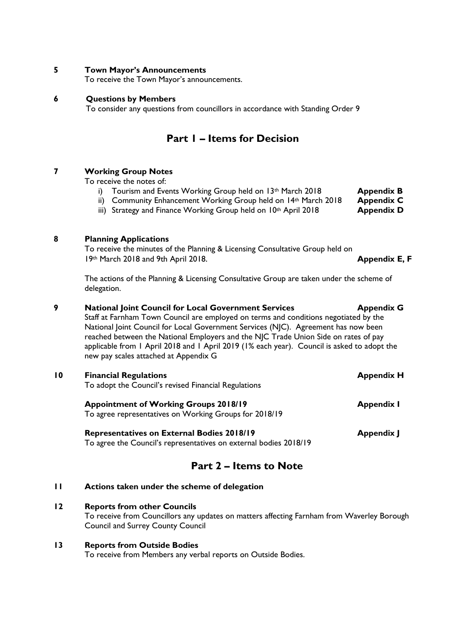#### **5 Town Mayor's Announcements**

To receive the Town Mayor's announcements.

#### **6 Questions by Members**

To consider any questions from councillors in accordance with Standing Order 9

# **Part 1 – Items for Decision**

#### **7 Working Group Notes**

To receive the notes of:

- i) Tourism and Events Working Group held on 13<sup>th</sup> March 2018 **Appendix B**
- ii) Community Enhancement Working Group held on 14th March 2018 **Appendix C**
- iii) Strategy and Finance Working Group held on 10<sup>th</sup> April 2018 **Appendix D**

#### **8 Planning Applications**

To receive the minutes of the Planning & Licensing Consultative Group held on 19th March 2018 and 9th April 2018. **Appendix E, F**

The actions of the Planning & Licensing Consultative Group are taken under the scheme of delegation.

#### **9 National Joint Council for Local Government Services Appendix G**

Staff at Farnham Town Council are employed on terms and conditions negotiated by the National Joint Council for Local Government Services (NJC). Agreement has now been reached between the National Employers and the NJC Trade Union Side on rates of pay applicable from 1 April 2018 and 1 April 2019 (1% each year). Council is asked to adopt the new pay scales attached at Appendix G

| $\overline{10}$ | <b>Financial Regulations</b><br>To adopt the Council's revised Financial Regulations                                   | <b>Appendix H</b> |
|-----------------|------------------------------------------------------------------------------------------------------------------------|-------------------|
|                 | <b>Appointment of Working Groups 2018/19</b><br>To agree representatives on Working Groups for 2018/19                 | <b>Appendix I</b> |
|                 | <b>Representatives on External Bodies 2018/19</b><br>To agree the Council's representatives on external bodies 2018/19 | <b>Appendix J</b> |

# **Part 2 – Items to Note**

#### **11 Actions taken under the scheme of delegation**

#### **12 Reports from other Councils**

To receive from Councillors any updates on matters affecting Farnham from Waverley Borough Council and Surrey County Council

### **13 Reports from Outside Bodies**

To receive from Members any verbal reports on Outside Bodies.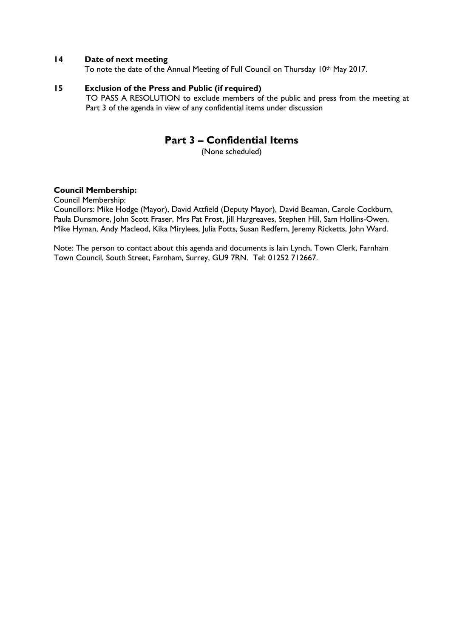#### **14 Date of next meeting**

To note the date of the Annual Meeting of Full Council on Thursday 10th May 2017.

#### **15 Exclusion of the Press and Public (if required)**

TO PASS A RESOLUTION to exclude members of the public and press from the meeting at Part 3 of the agenda in view of any confidential items under discussion

# **Part 3 – Confidential Items**

(None scheduled)

#### **Council Membership:**

Council Membership:

Councillors: Mike Hodge (Mayor), David Attfield (Deputy Mayor), David Beaman, Carole Cockburn, Paula Dunsmore, John Scott Fraser, Mrs Pat Frost, Jill Hargreaves, Stephen Hill, Sam Hollins-Owen, Mike Hyman, Andy Macleod, Kika Mirylees, Julia Potts, Susan Redfern, Jeremy Ricketts, John Ward.

Note: The person to contact about this agenda and documents is Iain Lynch, Town Clerk, Farnham Town Council, South Street, Farnham, Surrey, GU9 7RN. Tel: 01252 712667.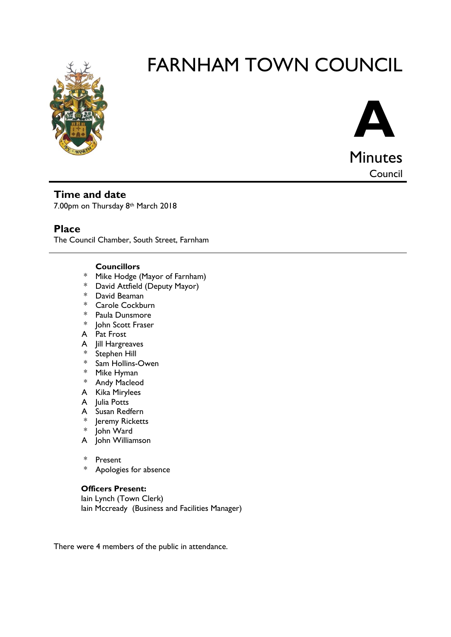



Council

**Time and date**

7.00pm on Thursday 8th March 2018

# **Place**

The Council Chamber, South Street, Farnham

#### **Councillors**

- \* Mike Hodge (Mayor of Farnham)<br>\* David Attfield (Deputy Mayor)
- David Attfield (Deputy Mayor)
- \* David Beaman
- \* Carole Cockburn
- \* Paula Dunsmore
- \* John Scott Fraser
- A Pat Frost
- A Jill Hargreaves
- \* Stephen Hill
- \* Sam Hollins-Owen
- \* Mike Hyman
- \* Andy Macleod
- A Kika Mirylees
- A Iulia Potts
- A Susan Redfern
- \* Jeremy Ricketts
- \* John Ward
- A John Williamson
- \* Present
- \* Apologies for absence

#### **Officers Present:**

Iain Lynch (Town Clerk) Iain Mccready (Business and Facilities Manager)

There were 4 members of the public in attendance.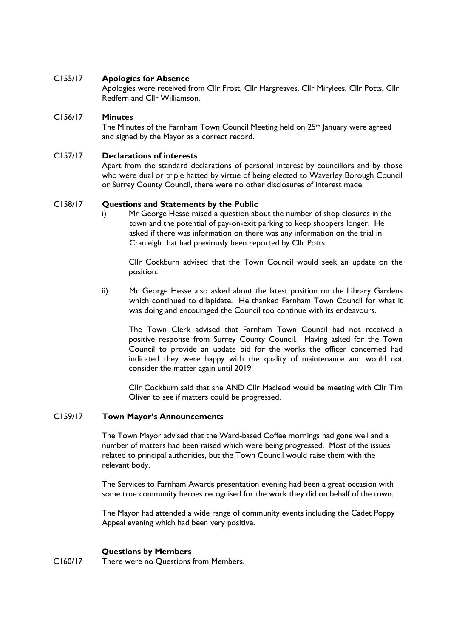#### C155/17 **Apologies for Absence**

Apologies were received from Cllr Frost, Cllr Hargreaves, Cllr Mirylees, Cllr Potts, Cllr Redfern and Cllr Williamson.

#### C156/17 **Minutes**

The Minutes of the Farnham Town Council Meeting held on 25th January were agreed and signed by the Mayor as a correct record.

#### C157/17 **Declarations of interests**

Apart from the standard declarations of personal interest by councillors and by those who were dual or triple hatted by virtue of being elected to Waverley Borough Council or Surrey County Council, there were no other disclosures of interest made.

#### C158/17 **Questions and Statements by the Public**

i) Mr George Hesse raised a question about the number of shop closures in the town and the potential of pay-on-exit parking to keep shoppers longer. He asked if there was information on there was any information on the trial in Cranleigh that had previously been reported by Cllr Potts.

Cllr Cockburn advised that the Town Council would seek an update on the position.

ii) Mr George Hesse also asked about the latest position on the Library Gardens which continued to dilapidate. He thanked Farnham Town Council for what it was doing and encouraged the Council too continue with its endeavours.

The Town Clerk advised that Farnham Town Council had not received a positive response from Surrey County Council. Having asked for the Town Council to provide an update bid for the works the officer concerned had indicated they were happy with the quality of maintenance and would not consider the matter again until 2019.

Cllr Cockburn said that she AND Cllr Macleod would be meeting with Cllr Tim Oliver to see if matters could be progressed.

#### C159/17 **Town Mayor's Announcements**

The Town Mayor advised that the Ward-based Coffee mornings had gone well and a number of matters had been raised which were being progressed. Most of the issues related to principal authorities, but the Town Council would raise them with the relevant body.

The Services to Farnham Awards presentation evening had been a great occasion with some true community heroes recognised for the work they did on behalf of the town.

The Mayor had attended a wide range of community events including the Cadet Poppy Appeal evening which had been very positive.

#### **Questions by Members**

C160/17 There were no Questions from Members.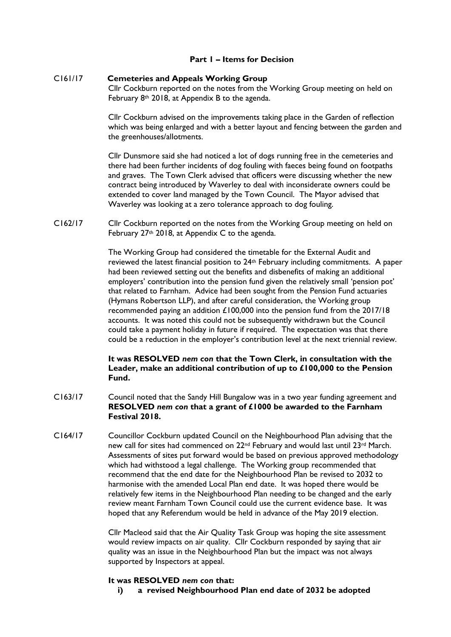#### **Part 1 – Items for Decision**

#### C161/17 **Cemeteries and Appeals Working Group**

Cllr Cockburn reported on the notes from the Working Group meeting on held on February 8th 2018, at Appendix B to the agenda.

Cllr Cockburn advised on the improvements taking place in the Garden of reflection which was being enlarged and with a better layout and fencing between the garden and the greenhouses/allotments.

Cllr Dunsmore said she had noticed a lot of dogs running free in the cemeteries and there had been further incidents of dog fouling with faeces being found on footpaths and graves. The Town Clerk advised that officers were discussing whether the new contract being introduced by Waverley to deal with inconsiderate owners could be extended to cover land managed by the Town Council. The Mayor advised that Waverley was looking at a zero tolerance approach to dog fouling.

C162/17 Cllr Cockburn reported on the notes from the Working Group meeting on held on February 27th 2018, at Appendix C to the agenda.

> The Working Group had considered the timetable for the External Audit and reviewed the latest financial position to 24th February including commitments. A paper had been reviewed setting out the benefits and disbenefits of making an additional employers' contribution into the pension fund given the relatively small 'pension pot' that related to Farnham. Advice had been sought from the Pension Fund actuaries (Hymans Robertson LLP), and after careful consideration, the Working group recommended paying an addition £100,000 into the pension fund from the 2017/18 accounts. It was noted this could not be subsequently withdrawn but the Council could take a payment holiday in future if required. The expectation was that there could be a reduction in the employer's contribution level at the next triennial review.

#### **It was RESOLVED** *nem con* **that the Town Clerk, in consultation with the Leader, make an additional contribution of up to £100,000 to the Pension Fund.**

- C163/17 Council noted that the Sandy Hill Bungalow was in a two year funding agreement and **RESOLVED** *nem con* **that a grant of £1000 be awarded to the Farnham Festival 2018.**
- C164/17 Councillor Cockburn updated Council on the Neighbourhood Plan advising that the new call for sites had commenced on 22nd February and would last until 23rd March. Assessments of sites put forward would be based on previous approved methodology which had withstood a legal challenge. The Working group recommended that recommend that the end date for the Neighbourhood Plan be revised to 2032 to harmonise with the amended Local Plan end date. It was hoped there would be relatively few items in the Neighbourhood Plan needing to be changed and the early review meant Farnham Town Council could use the current evidence base. It was hoped that any Referendum would be held in advance of the May 2019 election.

Cllr Macleod said that the Air Quality Task Group was hoping the site assessment would review impacts on air quality. Cllr Cockburn responded by saying that air quality was an issue in the Neighbourhood Plan but the impact was not always supported by Inspectors at appeal.

#### **It was RESOLVED** *nem con* **that:**

**i) a revised Neighbourhood Plan end date of 2032 be adopted**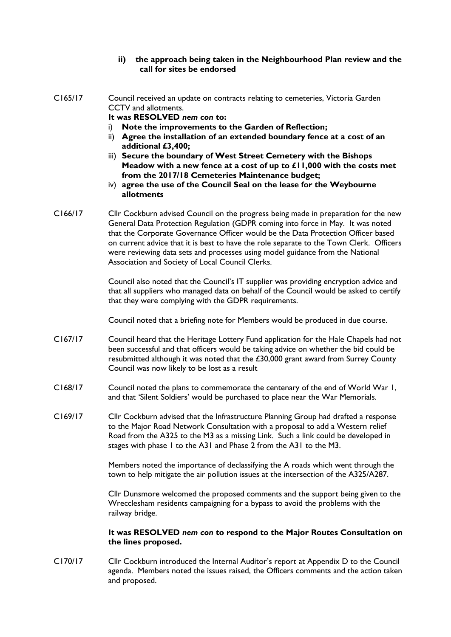#### **ii) the approach being taken in the Neighbourhood Plan review and the call for sites be endorsed**

C165/17 Council received an update on contracts relating to cemeteries, Victoria Garden CCTV and allotments.

**It was RESOLVED** *nem con* **to:**

- i) **Note the improvements to the Garden of Reflection;**
- ii) **Agree the installation of an extended boundary fence at a cost of an additional £3,400;**
- iii) **Secure the boundary of West Street Cemetery with the Bishops Meadow with a new fence at a cost of up to £11,000 with the costs met from the 2017/18 Cemeteries Maintenance budget;**
- iv) **agree the use of the Council Seal on the lease for the Weybourne allotments**
- C166/17 Cllr Cockburn advised Council on the progress being made in preparation for the new General Data Protection Regulation (GDPR coming into force in May. It was noted that the Corporate Governance Officer would be the Data Protection Officer based on current advice that it is best to have the role separate to the Town Clerk. Officers were reviewing data sets and processes using model guidance from the National Association and Society of Local Council Clerks.

Council also noted that the Council's IT supplier was providing encryption advice and that all suppliers who managed data on behalf of the Council would be asked to certify that they were complying with the GDPR requirements.

Council noted that a briefing note for Members would be produced in due course.

- C167/17 Council heard that the Heritage Lottery Fund application for the Hale Chapels had not been successful and that officers would be taking advice on whether the bid could be resubmitted although it was noted that the £30,000 grant award from Surrey County Council was now likely to be lost as a result
- C168/17 Council noted the plans to commemorate the centenary of the end of World War 1, and that 'Silent Soldiers' would be purchased to place near the War Memorials.
- C169/17 Cllr Cockburn advised that the Infrastructure Planning Group had drafted a response to the Major Road Network Consultation with a proposal to add a Western relief Road from the A325 to the M3 as a missing Link. Such a link could be developed in stages with phase 1 to the A31 and Phase 2 from the A31 to the M3.

Members noted the importance of declassifying the A roads which went through the town to help mitigate the air pollution issues at the intersection of the A325/A287.

Cllr Dunsmore welcomed the proposed comments and the support being given to the Wrecclesham residents campaigning for a bypass to avoid the problems with the railway bridge.

#### **It was RESOLVED** *nem con* **to respond to the Major Routes Consultation on the lines proposed.**

C170/17 Cllr Cockburn introduced the Internal Auditor's report at Appendix D to the Council agenda. Members noted the issues raised, the Officers comments and the action taken and proposed.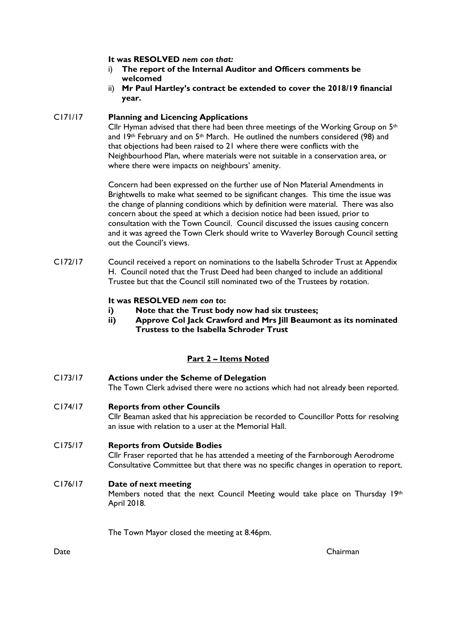#### **It was RESOLVED** *nem con that:*

- i) **The report of the Internal Auditor and Officers comments be welcomed**
- ii) **Mr Paul Hartley's contract be extended to cover the 2018/19 financial year.**

#### C171/17 **Planning and Licencing Applications**

Cllr Hyman advised that there had been three meetings of the Working Group on  $5<sup>th</sup>$ and 19th February and on 5<sup>th</sup> March. He outlined the numbers considered (98) and that objections had been raised to 21 where there were conflicts with the Neighbourhood Plan, where materials were not suitable in a conservation area, or where there were impacts on neighbours' amenity.

Concern had been expressed on the further use of Non Material Amendments in Brightwells to make what seemed to be significant changes. This time the issue was the change of planning conditions which by definition were material. There was also concern about the speed at which a decision notice had been issued, prior to consultation with the Town Council. Council discussed the issues causing concern and it was agreed the Town Clerk should write to Waverley Borough Council setting out the Council's views.

C172/17 Council received a report on nominations to the Isabella Schroder Trust at Appendix H. Council noted that the Trust Deed had been changed to include an additional Trustee but that the Council still nominated two of the Trustees by rotation.

#### **It was RESOLVED** *nem con t***o:**

- **i) Note that the Trust body now had six trustees;**
- **ii) Approve Col Jack Crawford and Mrs Jill Beaumont as its nominated Trustess to the Isabella Schroder Trust**

#### **Part 2 – Items Noted**

| CI73/17 | <b>Actions under the Scheme of Delegation</b><br>The Town Clerk advised there were no actions which had not already been reported.                                                                              |
|---------|-----------------------------------------------------------------------------------------------------------------------------------------------------------------------------------------------------------------|
| CI74/17 | <b>Reports from other Councils</b><br>Cllr Beaman asked that his appreciation be recorded to Councillor Potts for resolving<br>an issue with relation to a user at the Memorial Hall.                           |
| CI75/17 | <b>Reports from Outside Bodies</b><br>Cllr Fraser reported that he has attended a meeting of the Farnborough Aerodrome<br>Consultative Committee but that there was no specific changes in operation to report. |
| C176/17 | Date of next meeting<br>Members noted that the next Council Meeting would take place on Thursday 19th<br>April 2018.                                                                                            |
|         | The Town Mayor closed the meeting at 8.46pm.                                                                                                                                                                    |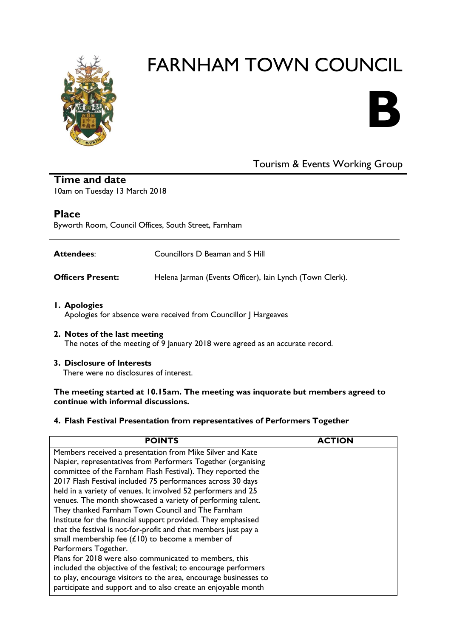



# Tourism & Events Working Group

**Time and date** 10am on Tuesday 13 March 2018

# **Place**

Byworth Room, Council Offices, South Street, Farnham

| <b>Attendees:</b>        | Councillors D Beaman and S Hill                          |
|--------------------------|----------------------------------------------------------|
| <b>Officers Present:</b> | Helena Jarman (Events Officer), lain Lynch (Town Clerk). |

- **1. Apologies** Apologies for absence were received from Councillor J Hargeaves
- **2. Notes of the last meeting** The notes of the meeting of 9 January 2018 were agreed as an accurate record.

#### **3. Disclosure of Interests**

There were no disclosures of interest.

#### **The meeting started at 10.15am. The meeting was inquorate but members agreed to continue with informal discussions.**

#### **4. Flash Festival Presentation from representatives of Performers Together**

| <b>POINTS</b>                                                    | <b>TION</b> |
|------------------------------------------------------------------|-------------|
| Members received a presentation from Mike Silver and Kate        |             |
| Napier, representatives from Performers Together (organising     |             |
| committee of the Farnham Flash Festival). They reported the      |             |
| 2017 Flash Festival included 75 performances across 30 days      |             |
| held in a variety of venues. It involved 52 performers and 25    |             |
| venues. The month showcased a variety of performing talent.      |             |
| They thanked Farnham Town Council and The Farnham                |             |
| Institute for the financial support provided. They emphasised    |             |
| that the festival is not-for-profit and that members just pay a  |             |
| small membership fee $(E10)$ to become a member of               |             |
| Performers Together.                                             |             |
| Plans for 2018 were also communicated to members, this           |             |
| included the objective of the festival; to encourage performers  |             |
| to play, encourage visitors to the area, encourage businesses to |             |
| participate and support and to also create an enjoyable month    |             |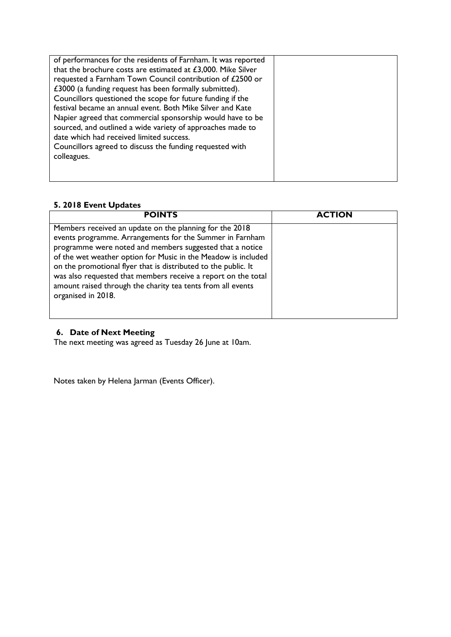| of performances for the residents of Farnham. It was reported<br>that the brochure costs are estimated at $£3,000$ . Mike Silver<br>requested a Farnham Town Council contribution of £2500 or<br>£3000 (a funding request has been formally submitted).<br>Councillors questioned the scope for future funding if the<br>festival became an annual event. Both Mike Silver and Kate<br>Napier agreed that commercial sponsorship would have to be<br>sourced, and outlined a wide variety of approaches made to<br>date which had received limited success.<br>Councillors agreed to discuss the funding requested with<br>colleagues. |  |
|----------------------------------------------------------------------------------------------------------------------------------------------------------------------------------------------------------------------------------------------------------------------------------------------------------------------------------------------------------------------------------------------------------------------------------------------------------------------------------------------------------------------------------------------------------------------------------------------------------------------------------------|--|
|                                                                                                                                                                                                                                                                                                                                                                                                                                                                                                                                                                                                                                        |  |

# **5. 2018 Event Updates**

| <b>POINTS</b>                                                                                                                                                                                                                                                                                                                                                                                                                                                            | <b>ACTION</b> |
|--------------------------------------------------------------------------------------------------------------------------------------------------------------------------------------------------------------------------------------------------------------------------------------------------------------------------------------------------------------------------------------------------------------------------------------------------------------------------|---------------|
| Members received an update on the planning for the 2018<br>events programme. Arrangements for the Summer in Farnham<br>programme were noted and members suggested that a notice<br>of the wet weather option for Music in the Meadow is included<br>on the promotional flyer that is distributed to the public. It<br>was also requested that members receive a report on the total<br>amount raised through the charity tea tents from all events<br>organised in 2018. |               |

#### **6. Date of Next Meeting**

The next meeting was agreed as Tuesday 26 June at 10am.

Notes taken by Helena Jarman (Events Officer).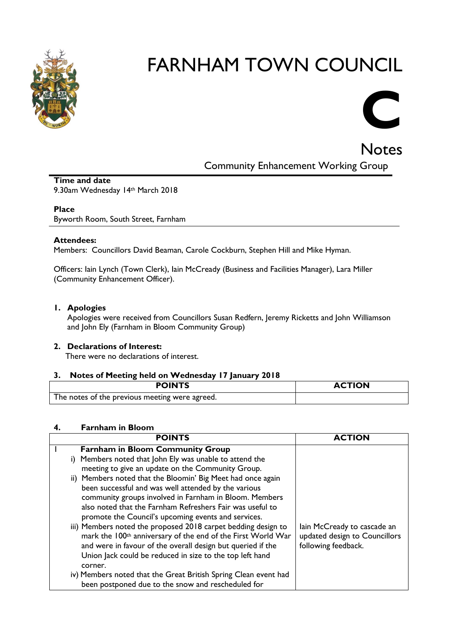



Notes Community Enhancement Working Group

# **Time and date**

9.30am Wednesday 14th March 2018

#### **Place**

Byworth Room, South Street, Farnham

#### **Attendees:**

Members: Councillors David Beaman, Carole Cockburn, Stephen Hill and Mike Hyman.

Officers: Iain Lynch (Town Clerk), Iain McCready (Business and Facilities Manager), Lara Miller (Community Enhancement Officer).

#### **1. Apologies**

Apologies were received from Councillors Susan Redfern, Jeremy Ricketts and John Williamson and John Ely (Farnham in Bloom Community Group)

#### **2. Declarations of Interest:**

There were no declarations of interest.

#### **3. Notes of Meeting held on Wednesday 17 January 2018**

| <b>POINTS</b>                                  | <b>ACTION</b> |
|------------------------------------------------|---------------|
| The notes of the previous meeting were agreed. |               |

#### **4. Farnham in Bloom**

| <b>POINTS</b>                                                            |                               |
|--------------------------------------------------------------------------|-------------------------------|
| <b>Farnham in Bloom Community Group</b>                                  |                               |
| i) Members noted that John Ely was unable to attend the                  |                               |
| meeting to give an update on the Community Group.                        |                               |
| ii) Members noted that the Bloomin' Big Meet had once again              |                               |
| been successful and was well attended by the various                     |                               |
| community groups involved in Farnham in Bloom. Members                   |                               |
| also noted that the Farnham Refreshers Fair was useful to                |                               |
| promote the Council's upcoming events and services.                      |                               |
| iii) Members noted the proposed 2018 carpet bedding design to            | lain McCready to cascade an   |
| mark the 100 <sup>th</sup> anniversary of the end of the First World War | updated design to Councillors |
| and were in favour of the overall design but queried if the              | following feedback.           |
| Union Jack could be reduced in size to the top left hand                 |                               |
| corner.                                                                  |                               |
| iv) Members noted that the Great British Spring Clean event had          |                               |
| been postponed due to the snow and rescheduled for                       |                               |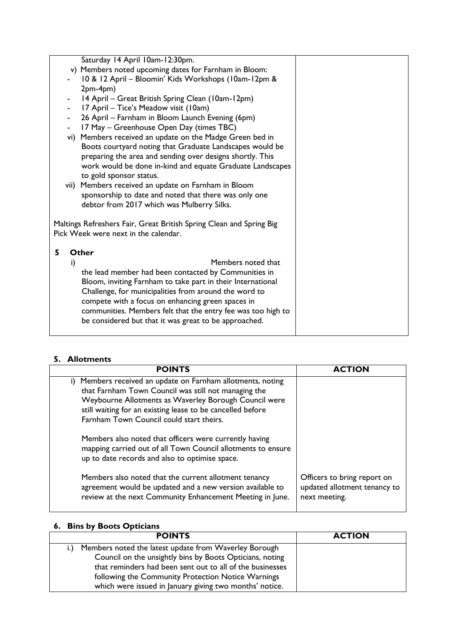|                                      |    | Saturday 14 April 10am-12:30pm.                                     |  |
|--------------------------------------|----|---------------------------------------------------------------------|--|
|                                      |    | v) Members noted upcoming dates for Farnham in Bloom:               |  |
|                                      |    | 10 & 12 April - Bloomin' Kids Workshops (10am-12pm &                |  |
|                                      |    | $2pm-4pm)$                                                          |  |
|                                      |    | 14 April – Great British Spring Clean (10am-12pm)                   |  |
|                                      |    | 17 April – Tice's Meadow visit (10am)                               |  |
|                                      |    | 26 April – Farnham in Bloom Launch Evening (6pm)                    |  |
|                                      |    | 17 May - Greenhouse Open Day (times TBC)                            |  |
|                                      |    | vi) Members received an update on the Madge Green bed in            |  |
|                                      |    | Boots courtyard noting that Graduate Landscapes would be            |  |
|                                      |    | preparing the area and sending over designs shortly. This           |  |
|                                      |    | work would be done in-kind and equate Graduate Landscapes           |  |
|                                      |    | to gold sponsor status.                                             |  |
|                                      |    | vii) Members received an update on Farnham in Bloom                 |  |
|                                      |    | sponsorship to date and noted that there was only one               |  |
|                                      |    | debtor from 2017 which was Mulberry Silks.                          |  |
|                                      |    |                                                                     |  |
|                                      |    | Maltings Refreshers Fair, Great British Spring Clean and Spring Big |  |
| Pick Week were next in the calendar. |    |                                                                     |  |
|                                      |    |                                                                     |  |
| 5                                    |    | Other                                                               |  |
|                                      | i) | Members noted that                                                  |  |
|                                      |    | the lead member had been contacted by Communities in                |  |
|                                      |    | Bloom, inviting Farnham to take part in their International         |  |
|                                      |    | Challenge, for municipalities from around the word to               |  |
|                                      |    | compete with a focus on enhancing green spaces in                   |  |
|                                      |    | communities. Members felt that the entry fee was too high to        |  |
|                                      |    | be considered but that it was great to be approached.               |  |
|                                      |    |                                                                     |  |

# **5. Allotments**

| <b>POINTS</b>                                                                                                                                                                                                                                                                              | <b>ACTION</b>                                                                |
|--------------------------------------------------------------------------------------------------------------------------------------------------------------------------------------------------------------------------------------------------------------------------------------------|------------------------------------------------------------------------------|
| Members received an update on Farnham allotments, noting<br>i).<br>that Farnham Town Council was still not managing the<br>Weybourne Allotments as Waverley Borough Council were<br>still waiting for an existing lease to be cancelled before<br>Farnham Town Council could start theirs. |                                                                              |
| Members also noted that officers were currently having<br>mapping carried out of all Town Council allotments to ensure<br>up to date records and also to optimise space.                                                                                                                   |                                                                              |
| Members also noted that the current allotment tenancy<br>agreement would be updated and a new version available to<br>review at the next Community Enhancement Meeting in June.                                                                                                            | Officers to bring report on<br>updated allotment tenancy to<br>next meeting. |

# **6. Bins by Boots Opticians**

| <b>POINTS</b>                                                           | <b>ACTION</b> |
|-------------------------------------------------------------------------|---------------|
| Members noted the latest update from Waverley Borough<br>$\mathbf{i}$ . |               |
| Council on the unsightly bins by Boots Opticians, noting                |               |
| that reminders had been sent out to all of the businesses               |               |
| following the Community Protection Notice Warnings                      |               |
| which were issued in January giving two months' notice.                 |               |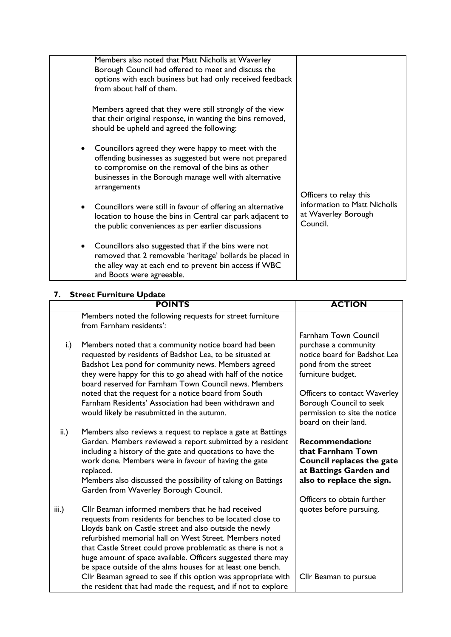| Members also noted that Matt Nicholls at Waverley<br>Borough Council had offered to meet and discuss the<br>options with each business but had only received feedback<br>from about half of them.                                             |                                                                 |
|-----------------------------------------------------------------------------------------------------------------------------------------------------------------------------------------------------------------------------------------------|-----------------------------------------------------------------|
| Members agreed that they were still strongly of the view<br>that their original response, in wanting the bins removed,<br>should be upheld and agreed the following:                                                                          |                                                                 |
| Councillors agreed they were happy to meet with the<br>offending businesses as suggested but were not prepared<br>to compromise on the removal of the bins as other<br>businesses in the Borough manage well with alternative<br>arrangements | Officers to relay this                                          |
| Councillors were still in favour of offering an alternative<br>$\bullet$<br>location to house the bins in Central car park adjacent to<br>the public conveniences as per earlier discussions                                                  | information to Matt Nicholls<br>at Waverley Borough<br>Council. |
| Councillors also suggested that if the bins were not<br>removed that 2 removable 'heritage' bollards be placed in<br>the alley way at each end to prevent bin access if WBC<br>and Boots were agreeable.                                      |                                                                 |

# **7. Street Furniture Update**

|                 | <b>POINTS</b>                                                                                                                  | <b>ACTION</b>                                            |
|-----------------|--------------------------------------------------------------------------------------------------------------------------------|----------------------------------------------------------|
|                 | Members noted the following requests for street furniture<br>from Farnham residents':                                          |                                                          |
|                 |                                                                                                                                | Farnham Town Council                                     |
| i.)             | Members noted that a community notice board had been<br>requested by residents of Badshot Lea, to be situated at               | purchase a community<br>notice board for Badshot Lea     |
|                 | Badshot Lea pond for community news. Members agreed                                                                            | pond from the street                                     |
|                 | they were happy for this to go ahead with half of the notice<br>board reserved for Farnham Town Council news. Members          | furniture budget.                                        |
|                 | noted that the request for a notice board from South                                                                           | Officers to contact Waverley                             |
|                 | Farnham Residents' Association had been withdrawn and<br>would likely be resubmitted in the autumn.                            | Borough Council to seek<br>permission to site the notice |
|                 |                                                                                                                                | board on their land.                                     |
| $\mathsf{ii}$ . | Members also reviews a request to replace a gate at Battings                                                                   |                                                          |
|                 | Garden. Members reviewed a report submitted by a resident<br>including a history of the gate and quotations to have the        | <b>Recommendation:</b><br>that Farnham Town              |
|                 | work done. Members were in favour of having the gate                                                                           | Council replaces the gate                                |
|                 | replaced.<br>Members also discussed the possibility of taking on Battings                                                      | at Battings Garden and<br>also to replace the sign.      |
|                 | Garden from Waverley Borough Council.                                                                                          |                                                          |
|                 | Cllr Beaman informed members that he had received                                                                              | Officers to obtain further                               |
| iii.)           | requests from residents for benches to be located close to                                                                     | quotes before pursuing.                                  |
|                 | Lloyds bank on Castle street and also outside the newly                                                                        |                                                          |
|                 | refurbished memorial hall on West Street. Members noted<br>that Castle Street could prove problematic as there is not a        |                                                          |
|                 | huge amount of space available. Officers suggested there may                                                                   |                                                          |
|                 | be space outside of the alms houses for at least one bench.                                                                    |                                                          |
|                 | Cllr Beaman agreed to see if this option was appropriate with<br>the resident that had made the request, and if not to explore | Cllr Beaman to pursue                                    |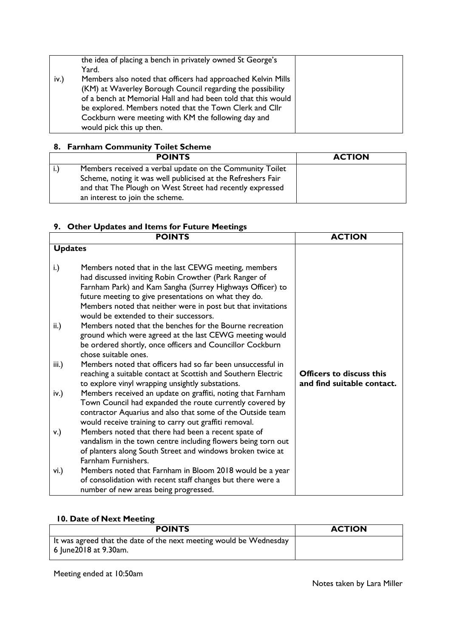|      | the idea of placing a bench in privately owned St George's<br>Yard.                                                                                                                                                                                                                                                                       |  |
|------|-------------------------------------------------------------------------------------------------------------------------------------------------------------------------------------------------------------------------------------------------------------------------------------------------------------------------------------------|--|
| iv.) | Members also noted that officers had approached Kelvin Mills<br>(KM) at Waverley Borough Council regarding the possibility<br>of a bench at Memorial Hall and had been told that this would<br>be explored. Members noted that the Town Clerk and Cllr<br>Cockburn were meeting with KM the following day and<br>would pick this up then. |  |

# **8. Farnham Community Toilet Scheme**

|              | <b>POINTS</b>                                                                                                             | <b>ACTION</b> |
|--------------|---------------------------------------------------------------------------------------------------------------------------|---------------|
| $\mathbf{L}$ | Members received a verbal update on the Community Toilet                                                                  |               |
|              | Scheme, noting it was well publicised at the Refreshers Fair<br>and that The Plough on West Street had recently expressed |               |
|              | an interest to join the scheme.                                                                                           |               |

# **9. Other Updates and Items for Future Meetings**

|                 | <b>POINTS</b>                                                                                                                                                                                                                                                                                                                                 | <b>ACTION</b>                                                 |
|-----------------|-----------------------------------------------------------------------------------------------------------------------------------------------------------------------------------------------------------------------------------------------------------------------------------------------------------------------------------------------|---------------------------------------------------------------|
| <b>Updates</b>  |                                                                                                                                                                                                                                                                                                                                               |                                                               |
| i.)             | Members noted that in the last CEWG meeting, members<br>had discussed inviting Robin Crowther (Park Ranger of<br>Farnham Park) and Kam Sangha (Surrey Highways Officer) to<br>future meeting to give presentations on what they do.<br>Members noted that neither were in post but that invitations<br>would be extended to their successors. |                                                               |
| $\mathsf{ii}$ . | Members noted that the benches for the Bourne recreation<br>ground which were agreed at the last CEWG meeting would<br>be ordered shortly, once officers and Councillor Cockburn<br>chose suitable ones.                                                                                                                                      |                                                               |
| iii.)           | Members noted that officers had so far been unsuccessful in<br>reaching a suitable contact at Scottish and Southern Electric<br>to explore vinyl wrapping unsightly substations.                                                                                                                                                              | <b>Officers to discuss this</b><br>and find suitable contact. |
| iv.)            | Members received an update on graffiti, noting that Farnham<br>Town Council had expanded the route currently covered by<br>contractor Aquarius and also that some of the Outside team<br>would receive training to carry out graffiti removal.                                                                                                |                                                               |
| v.)             | Members noted that there had been a recent spate of<br>vandalism in the town centre including flowers being torn out<br>of planters along South Street and windows broken twice at<br>Farnham Furnishers.                                                                                                                                     |                                                               |
| vi.)            | Members noted that Farnham in Bloom 2018 would be a year<br>of consolidation with recent staff changes but there were a<br>number of new areas being progressed.                                                                                                                                                                              |                                                               |

# **10. Date of Next Meeting**

| <b>POINTS</b>                                                                               | <b>ACTION</b> |
|---------------------------------------------------------------------------------------------|---------------|
| It was agreed that the date of the next meeting would be Wednesday<br>6 June2018 at 9.30am. |               |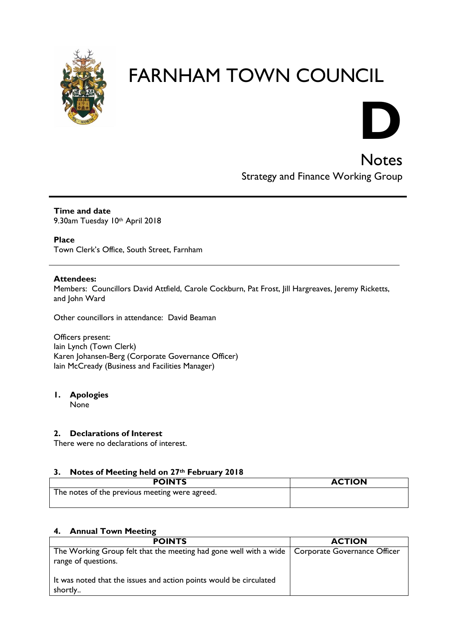



**Notes** Strategy and Finance Working Group

**Time and date** 9.30am Tuesday 10th April 2018

**Place**

Town Clerk's Office, South Street, Farnham

#### **Attendees:**

Members: Councillors David Attfield, Carole Cockburn, Pat Frost, Jill Hargreaves, Jeremy Ricketts, and John Ward

Other councillors in attendance: David Beaman

Officers present: Iain Lynch (Town Clerk) Karen Johansen-Berg (Corporate Governance Officer) Iain McCready (Business and Facilities Manager)

#### **1. Apologies**

None

#### **2. Declarations of Interest**

There were no declarations of interest.

#### **3. Notes of Meeting held on 27th February 2018**

| <b>POINTS</b>                                  | <b>ACTION</b> |
|------------------------------------------------|---------------|
| The notes of the previous meeting were agreed. |               |

#### **4. Annual Town Meeting**

| <b>POINTS</b>                                                                                                           | <b>ACTION</b> |
|-------------------------------------------------------------------------------------------------------------------------|---------------|
| The Working Group felt that the meeting had gone well with a wide   Corporate Governance Officer<br>range of questions. |               |
| It was noted that the issues and action points would be circulated<br>shortly                                           |               |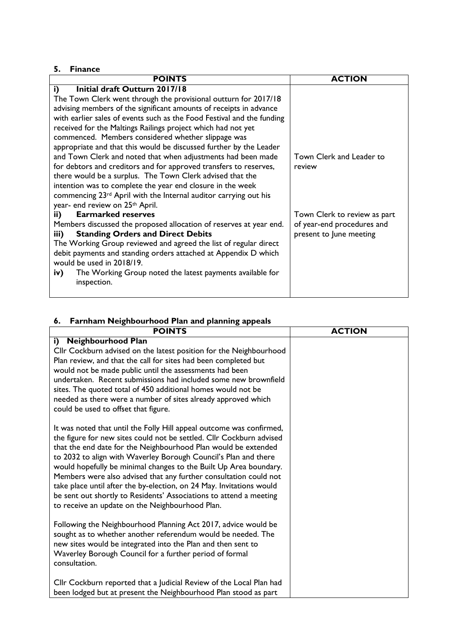#### **5. Finance**

| <b>POINTS</b>                                                                | <b>ACTION</b>                |
|------------------------------------------------------------------------------|------------------------------|
| Initial draft Outturn 2017/18<br>i)                                          |                              |
| The Town Clerk went through the provisional outturn for 2017/18              |                              |
| advising members of the significant amounts of receipts in advance           |                              |
| with earlier sales of events such as the Food Festival and the funding       |                              |
| received for the Maltings Railings project which had not yet                 |                              |
| commenced. Members considered whether slippage was                           |                              |
| appropriate and that this would be discussed further by the Leader           |                              |
| and Town Clerk and noted that when adjustments had been made                 | Town Clerk and Leader to     |
| for debtors and creditors and for approved transfers to reserves,            | review                       |
| there would be a surplus. The Town Clerk advised that the                    |                              |
| intention was to complete the year end closure in the week                   |                              |
| commencing 23 <sup>rd</sup> April with the Internal auditor carrying out his |                              |
| year- end review on 25th April.                                              |                              |
| <b>Earmarked reserves</b><br>ii)                                             | Town Clerk to review as part |
| Members discussed the proposed allocation of reserves at year end.           | of year-end procedures and   |
| <b>Standing Orders and Direct Debits</b><br>iii)                             | present to June meeting      |
| The Working Group reviewed and agreed the list of regular direct             |                              |
| debit payments and standing orders attached at Appendix D which              |                              |
| would be used in 2018/19.                                                    |                              |
| The Working Group noted the latest payments available for<br>iv)             |                              |
| inspection.                                                                  |                              |
|                                                                              |                              |

# **6. Farnham Neighbourhood Plan and planning appeals**

| <b>POINTS</b>                                                                                                                                                                                                                                                                                                                                                                                                                                                                                                                                                                                                                | <b>ACTION</b> |
|------------------------------------------------------------------------------------------------------------------------------------------------------------------------------------------------------------------------------------------------------------------------------------------------------------------------------------------------------------------------------------------------------------------------------------------------------------------------------------------------------------------------------------------------------------------------------------------------------------------------------|---------------|
| <b>Neighbourhood Plan</b><br>i)<br>Cllr Cockburn advised on the latest position for the Neighbourhood<br>Plan review, and that the call for sites had been completed but<br>would not be made public until the assessments had been<br>undertaken. Recent submissions had included some new brownfield<br>sites. The quoted total of 450 additional homes would not be<br>needed as there were a number of sites already approved which<br>could be used to offset that figure.                                                                                                                                              |               |
| It was noted that until the Folly Hill appeal outcome was confirmed,<br>the figure for new sites could not be settled. Cllr Cockburn advised<br>that the end date for the Neighbourhood Plan would be extended<br>to 2032 to align with Waverley Borough Council's Plan and there<br>would hopefully be minimal changes to the Built Up Area boundary.<br>Members were also advised that any further consultation could not<br>take place until after the by-election, on 24 May. Invitations would<br>be sent out shortly to Residents' Associations to attend a meeting<br>to receive an update on the Neighbourhood Plan. |               |
| Following the Neighbourhood Planning Act 2017, advice would be<br>sought as to whether another referendum would be needed. The<br>new sites would be integrated into the Plan and then sent to<br>Waverley Borough Council for a further period of formal<br>consultation.                                                                                                                                                                                                                                                                                                                                                   |               |
| Cllr Cockburn reported that a Judicial Review of the Local Plan had<br>been lodged but at present the Neighbourhood Plan stood as part                                                                                                                                                                                                                                                                                                                                                                                                                                                                                       |               |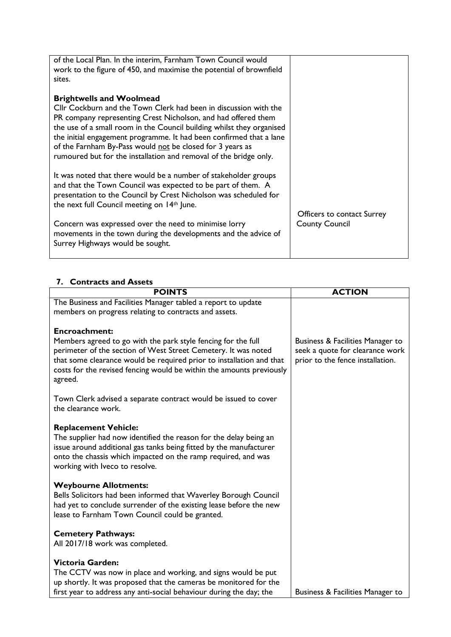| of the Local Plan. In the interim, Farnham Town Council would<br>work to the figure of 450, and maximise the potential of brownfield<br>sites.                                                                                                     |                            |
|----------------------------------------------------------------------------------------------------------------------------------------------------------------------------------------------------------------------------------------------------|----------------------------|
| <b>Brightwells and Woolmead</b>                                                                                                                                                                                                                    |                            |
| Cllr Cockburn and the Town Clerk had been in discussion with the                                                                                                                                                                                   |                            |
| PR company representing Crest Nicholson, and had offered them                                                                                                                                                                                      |                            |
| the use of a small room in the Council building whilst they organised<br>the initial engagement programme. It had been confirmed that a lane                                                                                                       |                            |
| of the Farnham By-Pass would not be closed for 3 years as                                                                                                                                                                                          |                            |
| rumoured but for the installation and removal of the bridge only.                                                                                                                                                                                  |                            |
| It was noted that there would be a number of stakeholder groups<br>and that the Town Council was expected to be part of them. A<br>presentation to the Council by Crest Nicholson was scheduled for<br>the next full Council meeting on 14th June. |                            |
|                                                                                                                                                                                                                                                    | Officers to contact Surrey |
| Concern was expressed over the need to minimise lorry<br>movements in the town during the developments and the advice of<br>Surrey Highways would be sought.                                                                                       | <b>County Council</b>      |
|                                                                                                                                                                                                                                                    |                            |

### **7. Contracts and Assets**

| <b>POINTS</b>                                                                                                                                                                                                                                                                              | <b>ACTION</b>                                                                                           |
|--------------------------------------------------------------------------------------------------------------------------------------------------------------------------------------------------------------------------------------------------------------------------------------------|---------------------------------------------------------------------------------------------------------|
| The Business and Facilities Manager tabled a report to update                                                                                                                                                                                                                              |                                                                                                         |
| members on progress relating to contracts and assets.                                                                                                                                                                                                                                      |                                                                                                         |
| <b>Encroachment:</b>                                                                                                                                                                                                                                                                       |                                                                                                         |
| Members agreed to go with the park style fencing for the full<br>perimeter of the section of West Street Cemetery. It was noted<br>that some clearance would be required prior to installation and that<br>costs for the revised fencing would be within the amounts previously<br>agreed. | Business & Facilities Manager to<br>seek a quote for clearance work<br>prior to the fence installation. |
| Town Clerk advised a separate contract would be issued to cover<br>the clearance work.                                                                                                                                                                                                     |                                                                                                         |
| <b>Replacement Vehicle:</b>                                                                                                                                                                                                                                                                |                                                                                                         |
| The supplier had now identified the reason for the delay being an                                                                                                                                                                                                                          |                                                                                                         |
| issue around additional gas tanks being fitted by the manufacturer                                                                                                                                                                                                                         |                                                                                                         |
| onto the chassis which impacted on the ramp required, and was<br>working with Iveco to resolve.                                                                                                                                                                                            |                                                                                                         |
|                                                                                                                                                                                                                                                                                            |                                                                                                         |
| <b>Weybourne Allotments:</b>                                                                                                                                                                                                                                                               |                                                                                                         |
| Bells Solicitors had been informed that Waverley Borough Council                                                                                                                                                                                                                           |                                                                                                         |
| had yet to conclude surrender of the existing lease before the new                                                                                                                                                                                                                         |                                                                                                         |
| lease to Farnham Town Council could be granted.                                                                                                                                                                                                                                            |                                                                                                         |
| <b>Cemetery Pathways:</b>                                                                                                                                                                                                                                                                  |                                                                                                         |
| All 2017/18 work was completed.                                                                                                                                                                                                                                                            |                                                                                                         |
|                                                                                                                                                                                                                                                                                            |                                                                                                         |
| <b>Victoria Garden:</b>                                                                                                                                                                                                                                                                    |                                                                                                         |
| The CCTV was now in place and working, and signs would be put                                                                                                                                                                                                                              |                                                                                                         |
| up shortly. It was proposed that the cameras be monitored for the<br>first year to address any anti-social behaviour during the day; the                                                                                                                                                   | Business & Facilities Manager to                                                                        |
|                                                                                                                                                                                                                                                                                            |                                                                                                         |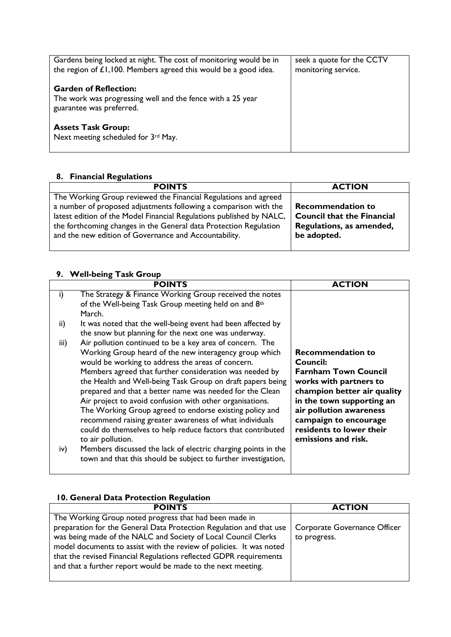| Gardens being locked at night. The cost of monitoring would be in<br>the region of $E1,100$ . Members agreed this would be a good idea. | seek a quote for the CCTV<br>monitoring service. |
|-----------------------------------------------------------------------------------------------------------------------------------------|--------------------------------------------------|
| <b>Garden of Reflection:</b><br>The work was progressing well and the fence with a 25 year<br>guarantee was preferred.                  |                                                  |
| <b>Assets Task Group:</b><br>Next meeting scheduled for 3rd May.                                                                        |                                                  |

# **8. Financial Regulations**

| <b>POINTS</b>                                                                                                                                                                                               | <b>ACTION</b>                                                 |
|-------------------------------------------------------------------------------------------------------------------------------------------------------------------------------------------------------------|---------------------------------------------------------------|
| The Working Group reviewed the Financial Regulations and agreed<br>a number of proposed adjustments following a comparison with the<br>latest edition of the Model Financial Regulations published by NALC, | <b>Recommendation to</b><br><b>Council that the Financial</b> |
| the forthcoming changes in the General data Protection Regulation<br>and the new edition of Governance and Accountability.                                                                                  | Regulations, as amended,<br>be adopted.                       |

# **9. Well-being Task Group**

| <b>POINTS</b>                                                                                                                                                                                                                                                                                                                                                                                                                                                                                                                                                                                                                                                                                                                                                                        | <b>ACTION</b>                                                                                                                                                                                                                                                    |
|--------------------------------------------------------------------------------------------------------------------------------------------------------------------------------------------------------------------------------------------------------------------------------------------------------------------------------------------------------------------------------------------------------------------------------------------------------------------------------------------------------------------------------------------------------------------------------------------------------------------------------------------------------------------------------------------------------------------------------------------------------------------------------------|------------------------------------------------------------------------------------------------------------------------------------------------------------------------------------------------------------------------------------------------------------------|
| The Strategy & Finance Working Group received the notes<br>i)<br>of the Well-being Task Group meeting held on and 8th<br>March.                                                                                                                                                                                                                                                                                                                                                                                                                                                                                                                                                                                                                                                      |                                                                                                                                                                                                                                                                  |
| It was noted that the well-being event had been affected by<br>ii)<br>the snow but planning for the next one was underway.                                                                                                                                                                                                                                                                                                                                                                                                                                                                                                                                                                                                                                                           |                                                                                                                                                                                                                                                                  |
| Air pollution continued to be a key area of concern. The<br>iii)<br>Working Group heard of the new interagency group which<br>would be working to address the areas of concern.<br>Members agreed that further consideration was needed by<br>the Health and Well-being Task Group on draft papers being<br>prepared and that a better name was needed for the Clean<br>Air project to avoid confusion with other organisations.<br>The Working Group agreed to endorse existing policy and<br>recommend raising greater awareness of what individuals<br>could do themselves to help reduce factors that contributed<br>to air pollution.<br>Members discussed the lack of electric charging points in the<br>iv)<br>town and that this should be subject to further investigation, | <b>Recommendation to</b><br>Council:<br><b>Farnham Town Council</b><br>works with partners to<br>champion better air quality<br>in the town supporting an<br>air pollution awareness<br>campaign to encourage<br>residents to lower their<br>emissions and risk. |

| 10. General Data Protection Regulation                              |                              |
|---------------------------------------------------------------------|------------------------------|
| <b>POINTS</b>                                                       | <b>ACTION</b>                |
| The Working Group noted progress that had been made in              |                              |
| preparation for the General Data Protection Regulation and that use | Corporate Governance Officer |
| was being made of the NALC and Society of Local Council Clerks      | to progress.                 |
| model documents to assist with the review of policies. It was noted |                              |
| that the revised Financial Regulations reflected GDPR requirements  |                              |
| and that a further report would be made to the next meeting.        |                              |
|                                                                     |                              |

#### **10. General Data Protection Regulation**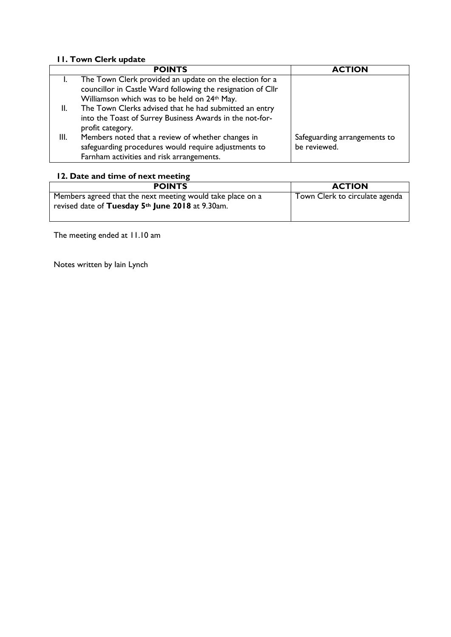# **11. Town Clerk update**

|      | <b>POINTS</b>                                               | <b>ACTION</b>                |
|------|-------------------------------------------------------------|------------------------------|
|      | The Town Clerk provided an update on the election for a     |                              |
|      | councillor in Castle Ward following the resignation of Cllr |                              |
|      | Williamson which was to be held on 24th May.                |                              |
| Ш.   | The Town Clerks advised that he had submitted an entry      |                              |
|      | into the Toast of Surrey Business Awards in the not-for-    |                              |
|      | profit category.                                            |                              |
| III. | Members noted that a review of whether changes in           | Safeguarding arrangements to |
|      | safeguarding procedures would require adjustments to        | be reviewed.                 |
|      | Farnham activities and risk arrangements.                   |                              |

# **12. Date and time of next meeting**

| <b>POINTS</b>                                                                                                  | <b>ACTION</b>                  |
|----------------------------------------------------------------------------------------------------------------|--------------------------------|
| Members agreed that the next meeting would take place on a<br>revised date of Tuesday 5th June 2018 at 9.30am. | Town Clerk to circulate agenda |
|                                                                                                                |                                |

The meeting ended at 11.10 am

Notes written by Iain Lynch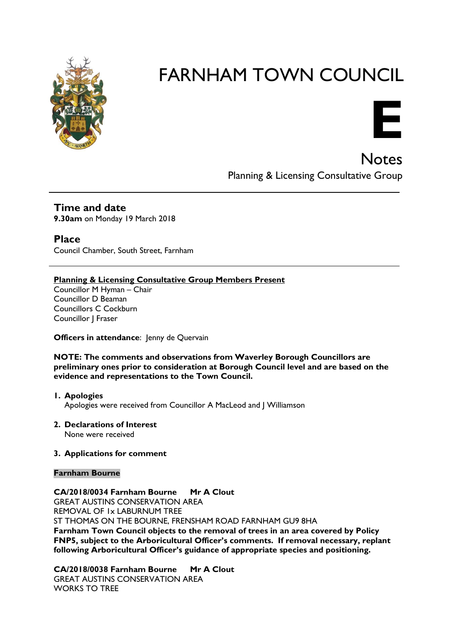

# **E**

**Notes** Planning & Licensing Consultative Group

# **Time and date**

**9.30am** on Monday 19 March 2018

**Place**

Council Chamber, South Street, Farnham

### **Planning & Licensing Consultative Group Members Present**

Councillor M Hyman – Chair Councillor D Beaman Councillors C Cockburn Councillor J Fraser

#### **Officers in attendance:** Jenny de Quervain

#### **NOTE: The comments and observations from Waverley Borough Councillors are preliminary ones prior to consideration at Borough Council level and are based on the evidence and representations to the Town Council.**

- **1. Apologies** Apologies were received from Councillor A MacLeod and J Williamson
- **2. Declarations of Interest**

None were received

#### **3. Applications for comment**

#### **Farnham Bourne**

# **CA/2018/0034 Farnham Bourne Mr A Clout**

GREAT AUSTINS CONSERVATION AREA REMOVAL OF 1x LABURNUM TREE ST THOMAS ON THE BOURNE, FRENSHAM ROAD FARNHAM GU9 8HA **Farnham Town Council objects to the removal of trees in an area covered by Policy FNP5, subject to the Arboricultural Officer's comments. If removal necessary, replant following Arboricultural Officer's guidance of appropriate species and positioning.**

**CA/2018/0038 Farnham Bourne Mr A Clout** GREAT AUSTINS CONSERVATION AREA WORKS TO TRFF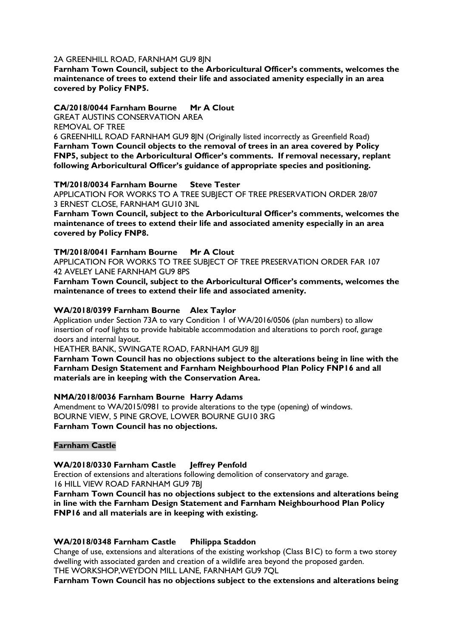#### 2A GREENHILL ROAD, FARNHAM GU9 8JN

**Farnham Town Council, subject to the Arboricultural Officer's comments, welcomes the maintenance of trees to extend their life and associated amenity especially in an area covered by Policy FNP5.** 

#### **CA/2018/0044 Farnham Bourne Mr A Clout**

GREAT AUSTINS CONSERVATION AREA

REMOVAL OF TREE

6 GREENHILL ROAD FARNHAM GU9 8JN (Originally listed incorrectly as Greenfield Road) **Farnham Town Council objects to the removal of trees in an area covered by Policy FNP5, subject to the Arboricultural Officer's comments. If removal necessary, replant following Arboricultural Officer's guidance of appropriate species and positioning.**

#### **TM/2018/0034 Farnham Bourne Steve Tester**

APPLICATION FOR WORKS TO A TREE SUBJECT OF TREE PRESERVATION ORDER 28/07 3 ERNEST CLOSE, FARNHAM GU10 3NL

**Farnham Town Council, subject to the Arboricultural Officer's comments, welcomes the maintenance of trees to extend their life and associated amenity especially in an area covered by Policy FNP8.** 

#### **TM/2018/0041 Farnham Bourne Mr A Clout**

APPLICATION FOR WORKS TO TREE SUBJECT OF TREE PRESERVATION ORDER FAR 107 42 AVELEY LANE FARNHAM GU9 8PS

**Farnham Town Council, subject to the Arboricultural Officer's comments, welcomes the maintenance of trees to extend their life and associated amenity.**

#### **WA/2018/0399 Farnham Bourne Alex Taylor**

Application under Section 73A to vary Condition 1 of WA/2016/0506 (plan numbers) to allow insertion of roof lights to provide habitable accommodation and alterations to porch roof, garage doors and internal layout.

HEATHER BANK, SWINGATE ROAD, FARNHAM GU9 8JJ

**Farnham Town Council has no objections subject to the alterations being in line with the Farnham Design Statement and Farnham Neighbourhood Plan Policy FNP16 and all materials are in keeping with the Conservation Area.** 

#### **NMA/2018/0036 Farnham Bourne Harry Adams**

Amendment to WA/2015/0981 to provide alterations to the type (opening) of windows. BOURNE VIEW, 5 PINE GROVE, LOWER BOURNE GU10 3RG **Farnham Town Council has no objections.**

#### **Farnham Castle**

#### **WA/2018/0330 Farnham Castle Jeffrey Penfold**

Erection of extensions and alterations following demolition of conservatory and garage. 16 HILL VIEW ROAD FARNHAM GU9 7BJ

**Farnham Town Council has no objections subject to the extensions and alterations being in line with the Farnham Design Statement and Farnham Neighbourhood Plan Policy FNP16 and all materials are in keeping with existing.**

#### **WA/2018/0348 Farnham Castle Philippa Staddon**

Change of use, extensions and alterations of the existing workshop (Class B1C) to form a two storey dwelling with associated garden and creation of a wildlife area beyond the proposed garden. THE WORKSHOP,WEYDON MILL LANE, FARNHAM GU9 7QL

**Farnham Town Council has no objections subject to the extensions and alterations being**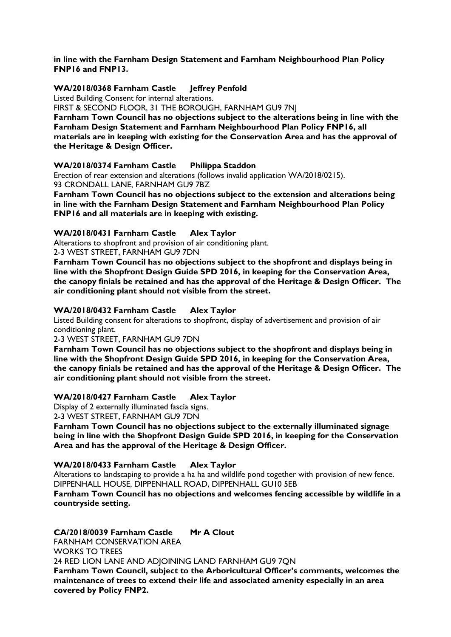#### **in line with the Farnham Design Statement and Farnham Neighbourhood Plan Policy FNP16 and FNP13.**

#### **WA/2018/0368 Farnham Castle Jeffrey Penfold**

Listed Building Consent for internal alterations.

FIRST & SECOND FLOOR, 31 THE BOROUGH, FARNHAM GU9 7NJ

**Farnham Town Council has no objections subject to the alterations being in line with the Farnham Design Statement and Farnham Neighbourhood Plan Policy FNP16, all materials are in keeping with existing for the Conservation Area and has the approval of the Heritage & Design Officer.** 

#### **WA/2018/0374 Farnham Castle Philippa Staddon**

Erection of rear extension and alterations (follows invalid application WA/2018/0215). 93 CRONDALL LANE, FARNHAM GU9 7BZ

**Farnham Town Council has no objections subject to the extension and alterations being in line with the Farnham Design Statement and Farnham Neighbourhood Plan Policy FNP16 and all materials are in keeping with existing.**

#### **WA/2018/0431 Farnham Castle Alex Taylor**

Alterations to shopfront and provision of air conditioning plant.

2-3 WEST STREET, FARNHAM GU9 7DN

**Farnham Town Council has no objections subject to the shopfront and displays being in line with the Shopfront Design Guide SPD 2016, in keeping for the Conservation Area, the canopy finials be retained and has the approval of the Heritage & Design Officer. The air conditioning plant should not visible from the street.**

#### **WA/2018/0432 Farnham Castle Alex Taylor**

Listed Building consent for alterations to shopfront, display of advertisement and provision of air conditioning plant.

2-3 WEST STREET, FARNHAM GU9 7DN

**Farnham Town Council has no objections subject to the shopfront and displays being in line with the Shopfront Design Guide SPD 2016, in keeping for the Conservation Area, the canopy finials be retained and has the approval of the Heritage & Design Officer. The air conditioning plant should not visible from the street.**

#### **WA/2018/0427 Farnham Castle Alex Taylor**

Display of 2 externally illuminated fascia signs.

2-3 WEST STREET, FARNHAM GU9 7DN

**Farnham Town Council has no objections subject to the externally illuminated signage being in line with the Shopfront Design Guide SPD 2016, in keeping for the Conservation Area and has the approval of the Heritage & Design Officer.**

#### **WA/2018/0433 Farnham Castle Alex Taylor**

Alterations to landscaping to provide a ha ha and wildlife pond together with provision of new fence. DIPPENHALL HOUSE, DIPPENHALL ROAD, DIPPENHALL GU10 5EB

**Farnham Town Council has no objections and welcomes fencing accessible by wildlife in a countryside setting.**

#### **CA/2018/0039 Farnham Castle Mr A Clout**

FARNHAM CONSERVATION AREA

WORKS TO TREES

24 RED LION LANE AND ADJOINING LAND FARNHAM GU9 7QN

**Farnham Town Council, subject to the Arboricultural Officer's comments, welcomes the maintenance of trees to extend their life and associated amenity especially in an area covered by Policy FNP2.**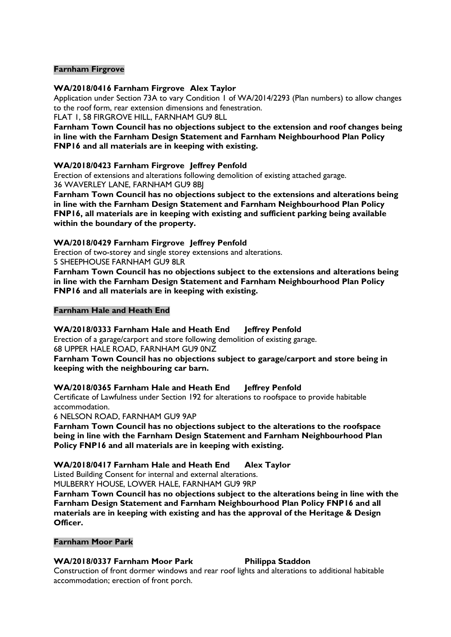#### **Farnham Firgrove**

#### **WA/2018/0416 Farnham Firgrove Alex Taylor**

Application under Section 73A to vary Condition 1 of WA/2014/2293 (Plan numbers) to allow changes to the roof form, rear extension dimensions and fenestration.

FLAT 1, 58 FIRGROVE HILL, FARNHAM GU9 8LL

**Farnham Town Council has no objections subject to the extension and roof changes being in line with the Farnham Design Statement and Farnham Neighbourhood Plan Policy FNP16 and all materials are in keeping with existing.**

#### **WA/2018/0423 Farnham Firgrove Jeffrey Penfold**

Erection of extensions and alterations following demolition of existing attached garage. 36 WAVERLEY LANE, FARNHAM GU9 8BJ

**Farnham Town Council has no objections subject to the extensions and alterations being in line with the Farnham Design Statement and Farnham Neighbourhood Plan Policy FNP16, all materials are in keeping with existing and sufficient parking being available within the boundary of the property.**

#### **WA/2018/0429 Farnham Firgrove Jeffrey Penfold**

Erection of two-storey and single storey extensions and alterations.

5 SHEEPHOUSE FARNHAM GU9 8LR

**Farnham Town Council has no objections subject to the extensions and alterations being in line with the Farnham Design Statement and Farnham Neighbourhood Plan Policy FNP16 and all materials are in keeping with existing.**

#### **Farnham Hale and Heath End**

#### **WA/2018/0333 Farnham Hale and Heath End Jeffrey Penfold**

Erection of a garage/carport and store following demolition of existing garage. 68 UPPER HALE ROAD, FARNHAM GU9 0NZ

**Farnham Town Council has no objections subject to garage/carport and store being in keeping with the neighbouring car barn.**

#### **WA/2018/0365 Farnham Hale and Heath End Jeffrey Penfold**

Certificate of Lawfulness under Section 192 for alterations to roofspace to provide habitable accommodation.

6 NELSON ROAD, FARNHAM GU9 9AP

**Farnham Town Council has no objections subject to the alterations to the roofspace being in line with the Farnham Design Statement and Farnham Neighbourhood Plan Policy FNP16 and all materials are in keeping with existing.**

#### **WA/2018/0417 Farnham Hale and Heath End Alex Taylor**

Listed Building Consent for internal and external alterations.

MULBERRY HOUSE, LOWER HALE, FARNHAM GU9 9RP

**Farnham Town Council has no objections subject to the alterations being in line with the Farnham Design Statement and Farnham Neighbourhood Plan Policy FNP16 and all materials are in keeping with existing and has the approval of the Heritage & Design Officer.**

#### **Farnham Moor Park**

#### WA/2018/0337 Farnham Moor Park Philippa Staddon

Construction of front dormer windows and rear roof lights and alterations to additional habitable accommodation; erection of front porch.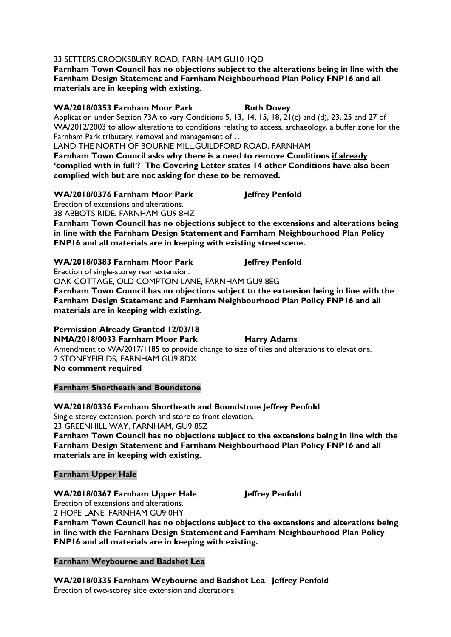### 33 SETTERS,CROOKSBURY ROAD, FARNHAM GU10 1QD

**Farnham Town Council has no objections subject to the alterations being in line with the Farnham Design Statement and Farnham Neighbourhood Plan Policy FNP16 and all materials are in keeping with existing.**

#### **WA/2018/0353 Farnham Moor Park Ruth Dovey**

Application under Section 73A to vary Conditions 5, 13, 14, 15, 18, 21(c) and (d), 23, 25 and 27 of WA/2012/2003 to allow alterations to conditions relating to access, archaeology, a buffer zone for the Farnham Park tributary, removal and management of…

LAND THE NORTH OF BOURNE MILL,GUILDFORD ROAD, FARNHAM

**Farnham Town Council asks why there is a need to remove Conditions if already 'complied with in full'? The Covering Letter states 14 other Conditions have also been complied with but are not asking for these to be removed.**

#### **WA/2018/0376 Farnham Moor Park Jeffrey Penfold**

Erection of extensions and alterations. 38 ABBOTS RIDE, FARNHAM GU9 8HZ

**Farnham Town Council has no objections subject to the extensions and alterations being in line with the Farnham Design Statement and Farnham Neighbourhood Plan Policy FNP16 and all materials are in keeping with existing streetscene.**

#### WA/2018/0383 Farnham Moor Park Jeffrey Penfold

Erection of single-storey rear extension.

OAK COTTAGE, OLD COMPTON LANE, FARNHAM GU9 8EG

**Farnham Town Council has no objections subject to the extension being in line with the Farnham Design Statement and Farnham Neighbourhood Plan Policy FNP16 and all materials are in keeping with existing.**

#### **Permission Already Granted 12/03/18**

**NMA/2018/0033 Farnham Moor Park Harry Adams** Amendment to WA/2017/1185 to provide change to size of tiles and alterations to elevations. 2 STONEYFIELDS, FARNHAM GU9 8DX **No comment required**

#### **Farnham Shortheath and Boundstone**

#### **WA/2018/0336 Farnham Shortheath and Boundstone Jeffrey Penfold**

Single storey extension, porch and store to front elevation. 23 GREENHILL WAY, FARNHAM, GU9 8SZ **Farnham Town Council has no objections subject to the extensions being in line with the** 

**Farnham Design Statement and Farnham Neighbourhood Plan Policy FNP16 and all materials are in keeping with existing.**

#### **Farnham Upper Hale**

#### **WA/2018/0367 Farnham Upper Hale Jeffrey Penfold**

Erection of extensions and alterations.

2 HOPE LANE, FARNHAM GU9 0HY **Farnham Town Council has no objections subject to the extensions and alterations being in line with the Farnham Design Statement and Farnham Neighbourhood Plan Policy FNP16 and all materials are in keeping with existing.**

#### **Farnham Weybourne and Badshot Lea**

**WA/2018/0335 Farnham Weybourne and Badshot Lea Jeffrey Penfold** Erection of two-storey side extension and alterations.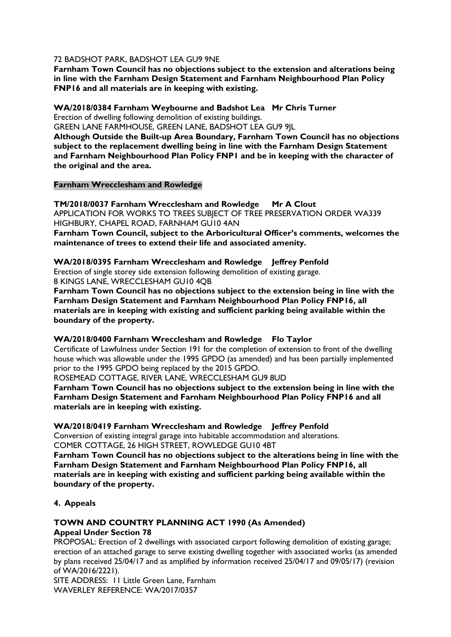#### 72 BADSHOT PARK, BADSHOT LEA GU9 9NE

**Farnham Town Council has no objections subject to the extension and alterations being in line with the Farnham Design Statement and Farnham Neighbourhood Plan Policy FNP16 and all materials are in keeping with existing.**

#### **WA/2018/0384 Farnham Weybourne and Badshot Lea Mr Chris Turner**

Erection of dwelling following demolition of existing buildings.

GREEN LANE FARMHOUSE, GREEN LANE, BADSHOT LEA GU9 9JL

**Although Outside the Built-up Area Boundary, Farnham Town Council has no objections subject to the replacement dwelling being in line with the Farnham Design Statement and Farnham Neighbourhood Plan Policy FNP1 and be in keeping with the character of the original and the area.**

#### **Farnham Wrecclesham and Rowledge**

**TM/2018/0037 Farnham Wrecclesham and Rowledge Mr A Clout** APPLICATION FOR WORKS TO TREES SUBJECT OF TREE PRESERVATION ORDER WA339 HIGHBURY, CHAPEL ROAD, FARNHAM GU10 4AN

**Farnham Town Council, subject to the Arboricultural Officer's comments, welcomes the maintenance of trees to extend their life and associated amenity.** 

#### **WA/2018/0395 Farnham Wrecclesham and Rowledge Jeffrey Penfold**

Erection of single storey side extension following demolition of existing garage. 8 KINGS LANE, WRECCLESHAM GU10 4QB

**Farnham Town Council has no objections subject to the extension being in line with the Farnham Design Statement and Farnham Neighbourhood Plan Policy FNP16, all materials are in keeping with existing and sufficient parking being available within the boundary of the property.**

#### **WA/2018/0400 Farnham Wrecclesham and Rowledge Flo Taylor**

Certificate of Lawfulness under Section 191 for the completion of extension to front of the dwelling house which was allowable under the 1995 GPDO (as amended) and has been partially implemented prior to the 1995 GPDO being replaced by the 2015 GPDO.

ROSEMEAD COTTAGE, RIVER LANE, WRECCLESHAM GU9 8UD

**Farnham Town Council has no objections subject to the extension being in line with the Farnham Design Statement and Farnham Neighbourhood Plan Policy FNP16 and all materials are in keeping with existing.**

#### **WA/2018/0419 Farnham Wrecclesham and Rowledge Jeffrey Penfold**

Conversion of existing integral garage into habitable accommodation and alterations. COMER COTTAGE, 26 HIGH STREET, ROWLEDGE GU10 4BT

**Farnham Town Council has no objections subject to the alterations being in line with the Farnham Design Statement and Farnham Neighbourhood Plan Policy FNP16, all materials are in keeping with existing and sufficient parking being available within the boundary of the property.**

#### **4. Appeals**

# **TOWN AND COUNTRY PLANNING ACT 1990 (As Amended)**

# **Appeal Under Section 78**

PROPOSAL: Erection of 2 dwellings with associated carport following demolition of existing garage; erection of an attached garage to serve existing dwelling together with associated works (as amended by plans received 25/04/17 and as amplified by information received 25/04/17 and 09/05/17) (revision of WA/2016/2221).

SITE ADDRESS: 11 Little Green Lane, Farnham WAVERLEY REFERENCE: WA/2017/0357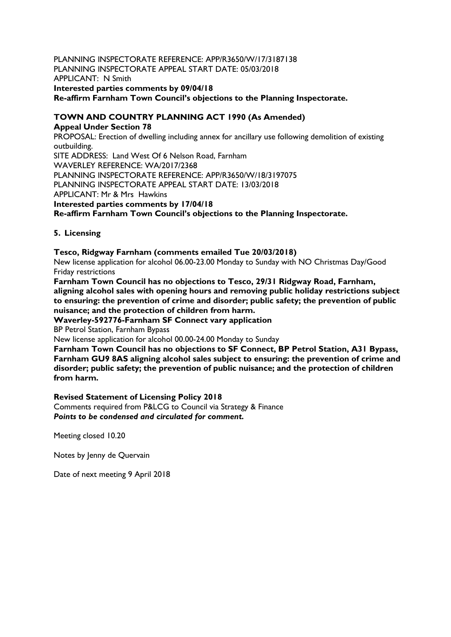#### PLANNING INSPECTORATE REFERENCE: APP/R3650/W/17/3187138 PLANNING INSPECTORATE APPEAL START DATE: 05/03/2018 APPLICANT: N Smith **Interested parties comments by 09/04/18 Re-affirm Farnham Town Council's objections to the Planning Inspectorate.**

#### **TOWN AND COUNTRY PLANNING ACT 1990 (As Amended)**

**Appeal Under Section 78**  PROPOSAL: Erection of dwelling including annex for ancillary use following demolition of existing outbuilding. SITE ADDRESS: Land West Of 6 Nelson Road, Farnham WAVERLEY REFERENCE: WA/2017/2368 PLANNING INSPECTORATE REFERENCE: APP/R3650/W/18/3197075 PLANNING INSPECTORATE APPEAL START DATE: 13/03/2018 APPLICANT: Mr & Mrs Hawkins **Interested parties comments by 17/04/18 Re-affirm Farnham Town Council's objections to the Planning Inspectorate.**

#### **5. Licensing**

#### **Tesco, Ridgway Farnham (comments emailed Tue 20/03/2018)**

New license application for alcohol 06.00-23.00 Monday to Sunday with NO Christmas Day/Good Friday restrictions

**Farnham Town Council has no objections to Tesco, 29/31 Ridgway Road, Farnham, aligning alcohol sales with opening hours and removing public holiday restrictions subject to ensuring: the prevention of crime and disorder; public safety; the prevention of public nuisance; and the protection of children from harm.**

**Waverley-592776-Farnham SF Connect vary application**

BP Petrol Station, Farnham Bypass

New license application for alcohol 00.00-24.00 Monday to Sunday

**Farnham Town Council has no objections to SF Connect, BP Petrol Station, A31 Bypass, Farnham GU9 8AS aligning alcohol sales subject to ensuring: the prevention of crime and disorder; public safety; the prevention of public nuisance; and the protection of children from harm.**

#### **Revised Statement of Licensing Policy 2018**

Comments required from P&LCG to Council via Strategy & Finance *Points to be condensed and circulated for comment.*

Meeting closed 10.20

Notes by Jenny de Quervain

Date of next meeting 9 April 2018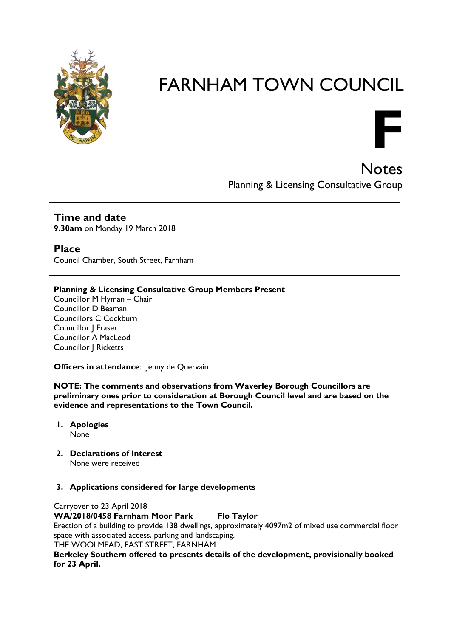

Notes Planning & Licensing Consultative Group

**F**

**Time and date**

**9.30am** on Monday 19 March 2018

**Place**

Council Chamber, South Street, Farnham

#### **Planning & Licensing Consultative Group Members Present**

Councillor M Hyman – Chair Councillor D Beaman Councillors C Cockburn Councillor J Fraser Councillor A MacLeod Councillor J Ricketts

**Officers in attendance: Jenny de Quervain** 

**NOTE: The comments and observations from Waverley Borough Councillors are preliminary ones prior to consideration at Borough Council level and are based on the evidence and representations to the Town Council.**

- **1. Apologies** None
- **2. Declarations of Interest** None were received
- **3. Applications considered for large developments**

#### Carryover to 23 April 2018

**WA/2018/0458 Farnham Moor Park Flo Taylor**

Erection of a building to provide 138 dwellings, approximately 4097m2 of mixed use commercial floor space with associated access, parking and landscaping.

THE WOOLMEAD, EAST STREET, FARNHAM

**Berkeley Southern offered to presents details of the development, provisionally booked for 23 April.**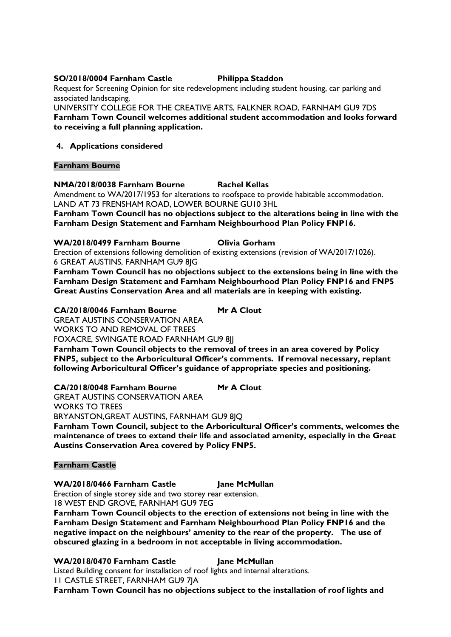#### **SO/2018/0004 Farnham Castle Philippa Staddon**

Request for Screening Opinion for site redevelopment including student housing, car parking and associated landscaping.

UNIVERSITY COLLEGE FOR THE CREATIVE ARTS, FALKNER ROAD, FARNHAM GU9 7DS **Farnham Town Council welcomes additional student accommodation and looks forward to receiving a full planning application.**

#### **4. Applications considered**

#### **Farnham Bourne**

#### **NMA/2018/0038 Farnham Bourne Rachel Kellas**

Amendment to WA/2017/1953 for alterations to roofspace to provide habitable accommodation. LAND AT 73 FRENSHAM ROAD, LOWER BOURNE GU10 3HL

**Farnham Town Council has no objections subject to the alterations being in line with the Farnham Design Statement and Farnham Neighbourhood Plan Policy FNP16.**

**WA/2018/0499 Farnham Bourne Olivia Gorham**

Erection of extensions following demolition of existing extensions (revision of WA/2017/1026). 6 GREAT AUSTINS, FARNHAM GU9 8JG

**Farnham Town Council has no objections subject to the extensions being in line with the Farnham Design Statement and Farnham Neighbourhood Plan Policy FNP16 and FNP5 Great Austins Conservation Area and all materials are in keeping with existing.**

**CA/2018/0046 Farnham Bourne Mr A Clout** GREAT AUSTINS CONSERVATION AREA WORKS TO AND REMOVAL OF TREES FOXACRE, SWINGATE ROAD FARNHAM GU9 8II

**Farnham Town Council objects to the removal of trees in an area covered by Policy FNP5, subject to the Arboricultural Officer's comments. If removal necessary, replant following Arboricultural Officer's guidance of appropriate species and positioning.**

**CA/2018/0048 Farnham Bourne Mr A Clout**

GREAT AUSTINS CONSERVATION AREA

WORKS TO TREES

BRYANSTON,GREAT AUSTINS, FARNHAM GU9 8JQ

**Farnham Town Council, subject to the Arboricultural Officer's comments, welcomes the maintenance of trees to extend their life and associated amenity, especially in the Great Austins Conservation Area covered by Policy FNP5.**

#### **Farnham Castle**

#### **WA/2018/0466 Farnham Castle Jane McMullan**

Erection of single storey side and two storey rear extension.

18 WEST END GROVE, FARNHAM GU9 7EG

**Farnham Town Council objects to the erection of extensions not being in line with the Farnham Design Statement and Farnham Neighbourhood Plan Policy FNP16 and the negative impact on the neighbours' amenity to the rear of the property. The use of obscured glazing in a bedroom in not acceptable in living accommodation.**

#### WA/2018/0470 Farnham Castle Jane McMullan

Listed Building consent for installation of roof lights and internal alterations.

11 CASTLE STREET, FARNHAM GU9 7JA

**Farnham Town Council has no objections subject to the installation of roof lights and**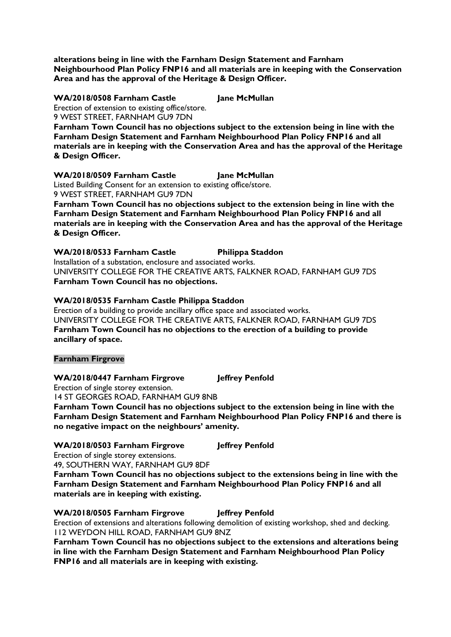**alterations being in line with the Farnham Design Statement and Farnham Neighbourhood Plan Policy FNP16 and all materials are in keeping with the Conservation Area and has the approval of the Heritage & Design Officer.** 

**WA/2018/0508 Farnham Castle Jane McMullan** Erection of extension to existing office/store. 9 WEST STREET, FARNHAM GU9 7DN

**Farnham Town Council has no objections subject to the extension being in line with the Farnham Design Statement and Farnham Neighbourhood Plan Policy FNP16 and all materials are in keeping with the Conservation Area and has the approval of the Heritage & Design Officer.** 

**WA/2018/0509 Farnham Castle Jane McMullan**

Listed Building Consent for an extension to existing office/store. 9 WEST STREET, FARNHAM GU9 7DN

**Farnham Town Council has no objections subject to the extension being in line with the Farnham Design Statement and Farnham Neighbourhood Plan Policy FNP16 and all materials are in keeping with the Conservation Area and has the approval of the Heritage & Design Officer.** 

**WA/2018/0533 Farnham Castle Philippa Staddon** Installation of a substation, enclosure and associated works.

UNIVERSITY COLLEGE FOR THE CREATIVE ARTS, FALKNER ROAD, FARNHAM GU9 7DS **Farnham Town Council has no objections.**

#### **WA/2018/0535 Farnham Castle Philippa Staddon**

Erection of a building to provide ancillary office space and associated works. UNIVERSITY COLLEGE FOR THE CREATIVE ARTS, FALKNER ROAD, FARNHAM GU9 7DS **Farnham Town Council has no objections to the erection of a building to provide ancillary of space.** 

#### **Farnham Firgrove**

#### **WA/2018/0447 Farnham Firgrove Jeffrey Penfold**

Erection of single storey extension.

14 ST GEORGES ROAD, FARNHAM GU9 8NB

**Farnham Town Council has no objections subject to the extension being in line with the Farnham Design Statement and Farnham Neighbourhood Plan Policy FNP16 and there is no negative impact on the neighbours' amenity.**

#### **WA/2018/0503 Farnham Firgrove Jeffrey Penfold**

Erection of single storey extensions.

49, SOUTHERN WAY, FARNHAM GU9 8DF

**Farnham Town Council has no objections subject to the extensions being in line with the Farnham Design Statement and Farnham Neighbourhood Plan Policy FNP16 and all materials are in keeping with existing.**

**WA/2018/0505 Farnham Firgrove Jeffrey Penfold** Erection of extensions and alterations following demolition of existing workshop, shed and decking.

112 WEYDON HILL ROAD, FARNHAM GU9 8NZ **Farnham Town Council has no objections subject to the extensions and alterations being in line with the Farnham Design Statement and Farnham Neighbourhood Plan Policy FNP16 and all materials are in keeping with existing.**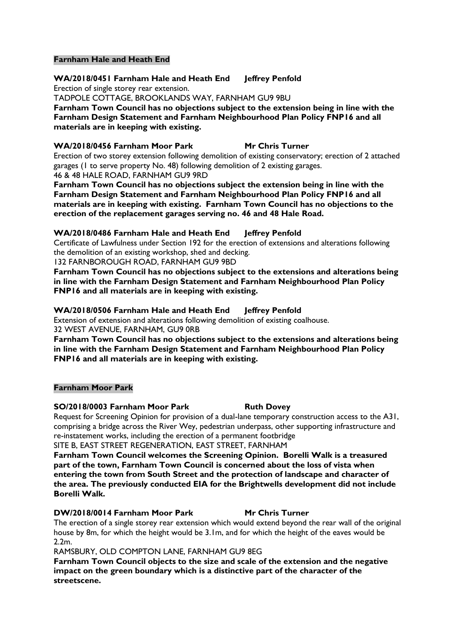#### **Farnham Hale and Heath End**

**WA/2018/0451 Farnham Hale and Heath End Jeffrey Penfold**

Erection of single storey rear extension.

TADPOLE COTTAGE, BROOKLANDS WAY, FARNHAM GU9 9BU

**Farnham Town Council has no objections subject to the extension being in line with the Farnham Design Statement and Farnham Neighbourhood Plan Policy FNP16 and all materials are in keeping with existing.**

#### **WA/2018/0456 Farnham Moor Park Mr Chris Turner**

Erection of two storey extension following demolition of existing conservatory; erection of 2 attached garages (1 to serve property No. 48) following demolition of 2 existing garages. 46 & 48 HALE ROAD, FARNHAM GU9 9RD

**Farnham Town Council has no objections subject the extension being in line with the Farnham Design Statement and Farnham Neighbourhood Plan Policy FNP16 and all materials are in keeping with existing. Farnham Town Council has no objections to the erection of the replacement garages serving no. 46 and 48 Hale Road.**

#### **WA/2018/0486 Farnham Hale and Heath End Jeffrey Penfold**

Certificate of Lawfulness under Section 192 for the erection of extensions and alterations following the demolition of an existing workshop, shed and decking.

132 FARNBOROUGH ROAD, FARNHAM GU9 9BD

**Farnham Town Council has no objections subject to the extensions and alterations being in line with the Farnham Design Statement and Farnham Neighbourhood Plan Policy FNP16 and all materials are in keeping with existing.**

**WA/2018/0506 Farnham Hale and Heath End Jeffrey Penfold**

Extension of extension and alterations following demolition of existing coalhouse. 32 WEST AVENUE, FARNHAM, GU9 0RB

**Farnham Town Council has no objections subject to the extensions and alterations being in line with the Farnham Design Statement and Farnham Neighbourhood Plan Policy FNP16 and all materials are in keeping with existing.**

#### **Farnham Moor Park**

#### **SO/2018/0003 Farnham Moor Park Ruth Dovey**

Request for Screening Opinion for provision of a dual-lane temporary construction access to the A31, comprising a bridge across the River Wey, pedestrian underpass, other supporting infrastructure and re-instatement works, including the erection of a permanent footbridge SITE B, EAST STREET REGENERATION, EAST STREET, FARNHAM

**Farnham Town Council welcomes the Screening Opinion. Borelli Walk is a treasured part of the town, Farnham Town Council is concerned about the loss of vista when entering the town from South Street and the protection of landscape and character of the area. The previously conducted EIA for the Brightwells development did not include Borelli Walk.**

#### **DW/2018/0014 Farnham Moor Park Mr Chris Turner**

The erection of a single storey rear extension which would extend beyond the rear wall of the original house by 8m, for which the height would be 3.1m, and for which the height of the eaves would be 2.2m.

RAMSBURY, OLD COMPTON LANE, FARNHAM GU9 8EG

**Farnham Town Council objects to the size and scale of the extension and the negative impact on the green boundary which is a distinctive part of the character of the streetscene.**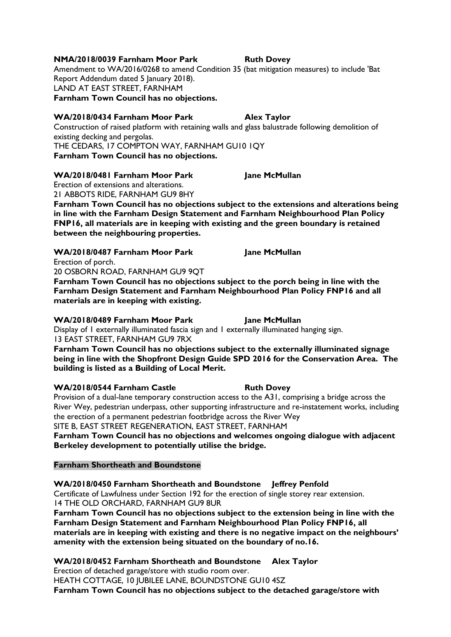#### **NMA/2018/0039 Farnham Moor Park Ruth Dovey**

Amendment to WA/2016/0268 to amend Condition 35 (bat mitigation measures) to include 'Bat Report Addendum dated 5 January 2018). LAND AT EAST STREET, FARNHAM **Farnham Town Council has no objections.**

#### **WA/2018/0434 Farnham Moor Park Alex Taylor**

Construction of raised platform with retaining walls and glass balustrade following demolition of existing decking and pergolas. THE CEDARS, 17 COMPTON WAY, FARNHAM GU10 1QY

**Farnham Town Council has no objections.**

#### **WA/2018/0481 Farnham Moor Park Jane McMullan**

Erection of extensions and alterations. 21 ABBOTS RIDE, FARNHAM GU9 8HY

**Farnham Town Council has no objections subject to the extensions and alterations being in line with the Farnham Design Statement and Farnham Neighbourhood Plan Policy FNP16, all materials are in keeping with existing and the green boundary is retained between the neighbouring properties.**

**WA/2018/0487 Farnham Moor Park Jane McMullan** Erection of porch.

20 OSBORN ROAD, FARNHAM GU9 9QT

**Farnham Town Council has no objections subject to the porch being in line with the Farnham Design Statement and Farnham Neighbourhood Plan Policy FNP16 and all materials are in keeping with existing.**

#### **WA/2018/0489 Farnham Moor Park Jane McMullan**

Display of 1 externally illuminated fascia sign and 1 externally illuminated hanging sign. 13 EAST STREET, FARNHAM GU9 7RX

**Farnham Town Council has no objections subject to the externally illuminated signage being in line with the Shopfront Design Guide SPD 2016 for the Conservation Area. The building is listed as a Building of Local Merit.**

#### **WA/2018/0544 Farnham Castle <b>Ruth Dovey**

Provision of a dual-lane temporary construction access to the A31, comprising a bridge across the River Wey, pedestrian underpass, other supporting infrastructure and re-instatement works, including the erection of a permanent pedestrian footbridge across the River Wey SITE B, EAST STREET REGENERATION, EAST STREET, FARNHAM

**Farnham Town Council has no objections and welcomes ongoing dialogue with adjacent Berkeley development to potentially utilise the bridge.**

#### **Farnham Shortheath and Boundstone**

#### **WA/2018/0450 Farnham Shortheath and Boundstone Jeffrey Penfold**

Certificate of Lawfulness under Section 192 for the erection of single storey rear extension. 14 THE OLD ORCHARD, FARNHAM GU9 8UR

**Farnham Town Council has no objections subject to the extension being in line with the Farnham Design Statement and Farnham Neighbourhood Plan Policy FNP16, all materials are in keeping with existing and there is no negative impact on the neighbours' amenity with the extension being situated on the boundary of no.16.**

**WA/2018/0452 Farnham Shortheath and Boundstone Alex Taylor**

Erection of detached garage/store with studio room over.

HEATH COTTAGE, 10 JUBILEE LANE, BOUNDSTONE GU10 4SZ

**Farnham Town Council has no objections subject to the detached garage/store with**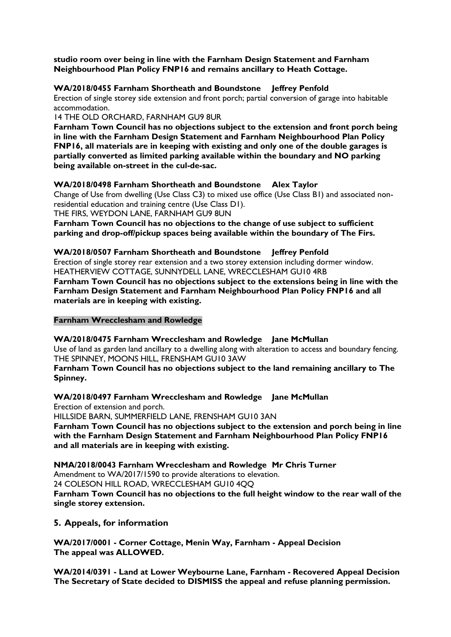**studio room over being in line with the Farnham Design Statement and Farnham Neighbourhood Plan Policy FNP16 and remains ancillary to Heath Cottage.**

#### **WA/2018/0455 Farnham Shortheath and Boundstone Jeffrey Penfold**

Erection of single storey side extension and front porch; partial conversion of garage into habitable accommodation.

14 THE OLD ORCHARD, FARNHAM GU9 8UR

**Farnham Town Council has no objections subject to the extension and front porch being in line with the Farnham Design Statement and Farnham Neighbourhood Plan Policy FNP16, all materials are in keeping with existing and only one of the double garages is partially converted as limited parking available within the boundary and NO parking being available on-street in the cul-de-sac.**

#### **WA/2018/0498 Farnham Shortheath and Boundstone Alex Taylor**

Change of Use from dwelling (Use Class C3) to mixed use office (Use Class B1) and associated nonresidential education and training centre (Use Class D1).

THE FIRS, WEYDON LANE, FARNHAM GU9 8UN

**Farnham Town Council has no objections to the change of use subject to sufficient parking and drop-off/pickup spaces being available within the boundary of The Firs.**

#### **WA/2018/0507 Farnham Shortheath and Boundstone Jeffrey Penfold**

Erection of single storey rear extension and a two storey extension including dormer window. HEATHERVIEW COTTAGE, SUNNYDELL LANE, WRECCLESHAM GU10 4RB

**Farnham Town Council has no objections subject to the extensions being in line with the Farnham Design Statement and Farnham Neighbourhood Plan Policy FNP16 and all materials are in keeping with existing.**

#### **Farnham Wrecclesham and Rowledge**

**WA/2018/0475 Farnham Wrecclesham and Rowledge Jane McMullan**

Use of land as garden land ancillary to a dwelling along with alteration to access and boundary fencing. THE SPINNEY, MOONS HILL, FRENSHAM GU10 3AW

**Farnham Town Council has no objections subject to the land remaining ancillary to The Spinney.**

#### **WA/2018/0497 Farnham Wrecclesham and Rowledge Jane McMullan**

Erection of extension and porch.

HILLSIDE BARN, SUMMERFIELD LANE, FRENSHAM GU10 3AN

**Farnham Town Council has no objections subject to the extension and porch being in line with the Farnham Design Statement and Farnham Neighbourhood Plan Policy FNP16 and all materials are in keeping with existing.**

**NMA/2018/0043 Farnham Wrecclesham and Rowledge Mr Chris Turner**

Amendment to WA/2017/1590 to provide alterations to elevation.

24 COLESON HILL ROAD, WRECCLESHAM GU10 4QQ

**Farnham Town Council has no objections to the full height window to the rear wall of the single storey extension.**

#### **5. Appeals, for information**

**WA/2017/0001 - Corner Cottage, Menin Way, Farnham - Appeal Decision The appeal was ALLOWED.**

**WA/2014/0391 - Land at Lower Weybourne Lane, Farnham - Recovered Appeal Decision The Secretary of State decided to DISMISS the appeal and refuse planning permission.**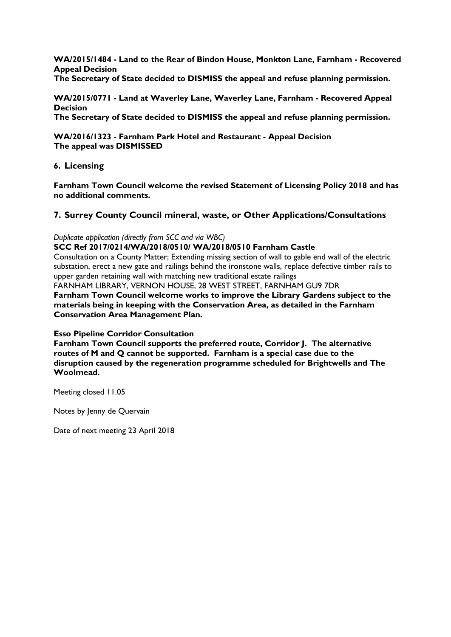**WA/2015/1484 - Land to the Rear of Bindon House, Monkton Lane, Farnham - Recovered Appeal Decision**

**The Secretary of State decided to DISMISS the appeal and refuse planning permission.** 

**WA/2015/0771 - Land at Waverley Lane, Waverley Lane, Farnham - Recovered Appeal Decision The Secretary of State decided to DISMISS the appeal and refuse planning permission.** 

**WA/2016/1323 - Farnham Park Hotel and Restaurant - Appeal Decision The appeal was DISMISSED** 

#### **6. Licensing**

**Farnham Town Council welcome the revised Statement of Licensing Policy 2018 and has no additional comments.**

#### **7. Surrey County Council mineral, waste, or Other Applications/Consultations**

#### *Duplicate application (directly from SCC and via WBC)*

**SCC Ref 2017/0214/WA/2018/0510/ WA/2018/0510 Farnham Castle**

Consultation on a County Matter; Extending missing section of wall to gable end wall of the electric substation, erect a new gate and railings behind the ironstone walls, replace defective timber rails to upper garden retaining wall with matching new traditional estate railings

FARNHAM LIBRARY, VERNON HOUSE, 28 WEST STREET, FARNHAM GU9 7DR

**Farnham Town Council welcome works to improve the Library Gardens subject to the materials being in keeping with the Conservation Area, as detailed in the Farnham Conservation Area Management Plan.**

#### **Esso Pipeline Corridor Consultation**

**Farnham Town Council supports the preferred route, Corridor J. The alternative routes of M and Q cannot be supported. Farnham is a special case due to the disruption caused by the regeneration programme scheduled for Brightwells and The Woolmead.**

Meeting closed 11.05

Notes by Jenny de Quervain

Date of next meeting 23 April 2018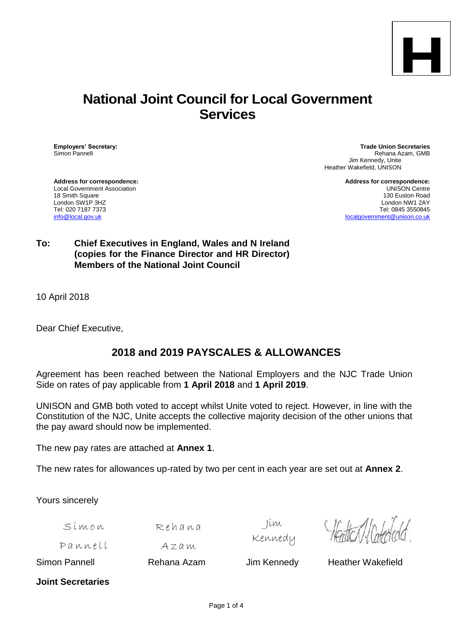

# **National Joint Council for Local Government Services**

**Employers' Secretary: Trade Union Secretaries** Rehana Azam, GMB Jim Kennedy, Unite Heather Wakefield, UNISON

Local Government Association<br>18 Smith Square London SW1P 3HZ<br>Tel: 020 7187 7373

**Address for correspondence: Address for correspondence:** 130 Euston Road<br>London NW1 2AY Tel: 020 7187 7373 Tel: 020 7187 7373 Tel: 020 7187 7373 Tel: 0845 3550845<br>Info@local.gov.uk and the state of the state of the state of the state of the state of the state of the state o [localgovernment@unison.co.uk](mailto:localgovernment@unison.co.uk)

### **To: Chief Executives in England, Wales and N Ireland (copies for the Finance Director and HR Director) Members of the National Joint Council**

10 April 2018

Dear Chief Executive,

# **2018 and 2019 PAYSCALES & ALLOWANCES**

Agreement has been reached between the National Employers and the NJC Trade Union Side on rates of pay applicable from **1 April 2018** and **1 April 2019**.

UNISON and GMB both voted to accept whilst Unite voted to reject. However, in line with the Constitution of the NJC, Unite accepts the collective majority decision of the other unions that the pay award should now be implemented.

The new pay rates are attached at **Annex 1**.

The new rates for allowances up-rated by two per cent in each year are set out at **Annex 2**.

Yours sincerely

S i m o n

A z a m

 $R$ ehana

Jim Kennedy

Pannell

Simon Pannell **Rehana Azam** Jim Kennedy Heather Wakefield

**Joint Secretaries**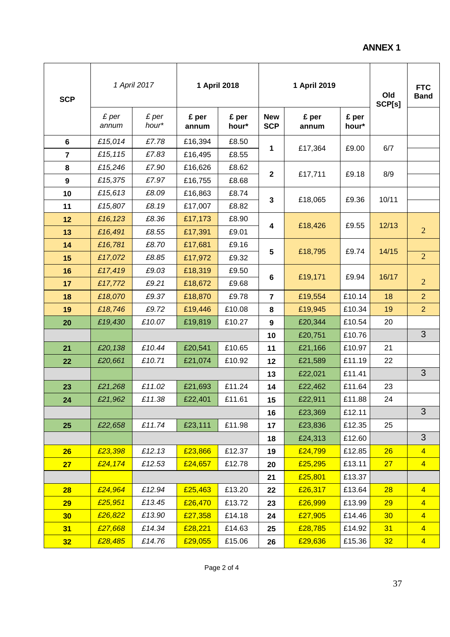# **ANNEX 1**

| <b>SCP</b>     |                | 1 April 2017   |                | 1 April 2018   |                          | 1 April 2019   |                | Old<br>SCP[s] | <b>FTC</b><br><b>Band</b> |
|----------------|----------------|----------------|----------------|----------------|--------------------------|----------------|----------------|---------------|---------------------------|
|                | £ per<br>annum | £ per<br>hour* | £ per<br>annum | £ per<br>hour* | <b>New</b><br><b>SCP</b> | £ per<br>annum | £ per<br>hour* |               |                           |
| 6              | £15,014        | £7.78          | £16,394        | £8.50          |                          |                |                |               |                           |
| $\overline{7}$ | £15,115        | £7.83          | £16,495        | £8.55          | 1                        | £17,364        | £9.00          | 6/7           |                           |
| 8              | £15,246        | £7.90          | £16,626        | £8.62          |                          |                |                |               |                           |
| 9              | £15,375        | £7.97          | £16,755        | £8.68          | $\mathbf 2$              | £17,711        | £9.18          | 8/9           |                           |
| 10             | £15,613        | £8.09          | £16,863        | £8.74          |                          |                |                |               |                           |
| 11             | £15,807        | £8.19          | £17,007        | £8.82          | 3                        | £18,065        | £9.36          | 10/11         |                           |
| 12             | £16,123        | £8.36          | £17,173        | £8.90          |                          |                | £9.55          |               |                           |
| 13             | £16,491        | £8.55          | £17,391        | £9.01          | 4                        | £18,426        |                | 12/13         | $\overline{2}$            |
| 14             | £16,781        | £8.70          | £17,681        | £9.16          |                          |                |                |               |                           |
| 15             | £17,072        | £8.85          | £17,972        | £9.32          | 5                        | £18,795        | £9.74          | 14/15         | $\overline{2}$            |
| 16             | £17,419        | £9.03          | £18,319        | £9.50          |                          |                |                |               |                           |
| 17             | £17,772        | £9.21          | £18,672        | £9.68          | 6                        | £19,171        | £9.94          | 16/17         | $\overline{2}$            |
| 18             | £18,070        | £9.37          | £18,870        | £9.78          | $\overline{\mathbf{r}}$  | £19,554        | £10.14         | 18            | $\overline{2}$            |
| 19             | £18,746        | £9.72          | £19,446        | £10.08         | 8                        | £19,945        | £10.34         | 19            | $\overline{2}$            |
| 20             | £19,430        | £10.07         | £19,819        | £10.27         | 9                        | £20,344        | £10.54         | 20            |                           |
|                |                |                |                | 10             | £20,751                  | £10.76         |                | 3             |                           |
| 21             | £20,138        | £10.44         | £20,541        | £10.65         | 11                       | £21,166        | £10.97         | 21            |                           |
| 22             | £20,661        | £10.71         | £21,074        | £10.92         | 12                       | £21,589        | £11.19         | 22            |                           |
|                |                |                |                |                | 13                       | £22,021        | £11.41         |               | 3                         |
| 23             | £21,268        | £11.02         | £21,693        | £11.24         | 14                       | £22,462        | £11.64         | 23            |                           |
| 24             | £21,962        | £11.38         | £22,401        | £11.61         | 15                       | £22,911        | £11.88         | 24            |                           |
|                |                |                |                |                | 16                       | £23,369        | £12.11         |               | 3                         |
| 25             | £22,658        | £11.74         | £23,111        | £11.98         | 17                       | £23,836        | £12.35         | 25            |                           |
|                |                |                |                |                | 18                       | £24,313        | £12.60         |               | 3                         |
| 26             | £23,398        | £12.13         | £23,866        | £12.37         | 19                       | £24,799        | £12.85         | 26            | $\overline{4}$            |
| 27             | £24,174        | £12.53         | £24,657        | £12.78         | 20                       | £25,295        | £13.11         | 27            | $\overline{4}$            |
|                |                |                |                |                | 21                       | £25,801        | £13.37         |               |                           |
| 28             | £24,964        | £12.94         | £25,463        | £13.20         | 22                       | £26,317        | £13.64         | 28            | $\overline{4}$            |
| 29             | £25,951        | £13.45         | £26,470        | £13.72         | 23                       | £26,999        | £13.99         | 29            | $\overline{4}$            |
| 30             | £26,822        | £13.90         | £27,358        | £14.18         | 24                       | £27,905        | £14.46         | 30            | $\overline{4}$            |
| 31             | £27,668        | £14.34         | £28,221        | £14.63         | 25                       | £28,785        | £14.92         | 31            | $\overline{4}$            |
| 32             | £28,485        | £14.76         | £29,055        | £15.06         | 26                       | £29,636        | £15.36         | 32            | $\overline{4}$            |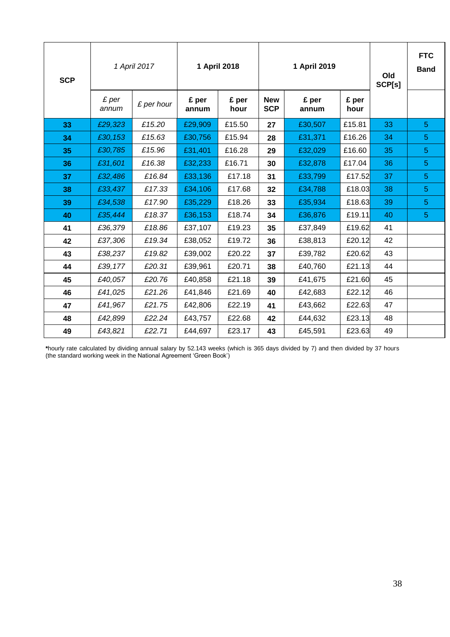| <b>SCP</b> |                | 1 April 2017 |                | 1 April 2018  |                          | 1 April 2019   |               | Old<br>SCP[s] | <b>FTC</b><br><b>Band</b> |
|------------|----------------|--------------|----------------|---------------|--------------------------|----------------|---------------|---------------|---------------------------|
|            | £ per<br>annum | £ per hour   | £ per<br>annum | £ per<br>hour | <b>New</b><br><b>SCP</b> | £ per<br>annum | £ per<br>hour |               |                           |
| 33         | £29,323        | £15.20       | £29,909        | £15.50        | 27                       | £30,507        | £15.81        | 33            | $\overline{5}$            |
| 34         | £30,153        | £15.63       | £30,756        | £15.94        | 28                       | £31,371        | £16.26        | 34            | $\overline{5}$            |
| 35         | £30,785        | £15.96       | £31,401        | £16.28        | 29                       | £32,029        | £16.60        | 35            | $\overline{5}$            |
| 36         | £31,601        | £16.38       | £32,233        | £16.71        | 30                       | £32,878        | £17.04        | 36            | $\overline{5}$            |
| 37         | £32,486        | £16.84       | £33,136        | £17.18        | 31                       | £33,799        | £17.52        | 37            | $\overline{5}$            |
| 38         | £33,437        | £17.33       | £34,106        | £17.68        | 32                       | £34,788        | £18.03        | 38            | 5                         |
| 39         | £34,538        | £17.90       | £35,229        | £18.26        | 33                       | £35,934        | £18.63        | 39            | $\overline{5}$            |
| 40         | £35,444        | £18.37       | £36,153        | £18.74        | 34                       | £36,876        | £19.11        | 40            | 5                         |
| 41         | £36,379        | £18.86       | £37,107        | £19.23        | 35                       | £37,849        | £19.62        | 41            |                           |
| 42         | £37,306        | £19.34       | £38,052        | £19.72        | 36                       | £38,813        | £20.12        | 42            |                           |
| 43         | £38,237        | £19.82       | £39,002        | £20.22        | 37                       | £39,782        | £20.62        | 43            |                           |
| 44         | £39,177        | £20.31       | £39,961        | £20.71        | 38                       | £40,760        | £21.13        | 44            |                           |
| 45         | £40,057        | £20.76       | £40,858        | £21.18        | 39                       | £41,675        | £21.60        | 45            |                           |
| 46         | £41,025        | £21.26       | £41,846        | £21.69        | 40                       | £42,683        | £22.12        | 46            |                           |
| 47         | £41,967        | £21.75       | £42,806        | £22.19        | 41                       | £43,662        | £22.63        | 47            |                           |
| 48         | £42,899        | £22.24       | £43,757        | £22.68        | 42                       | £44,632        | £23.13        | 48            |                           |
| 49         | £43,821        | £22.71       | £44,697        | £23.17        | 43                       | £45,591        | £23.63        | 49            |                           |

**\***hourly rate calculated by dividing annual salary by 52.143 weeks (which is 365 days divided by 7) and then divided by 37 hours (the standard working week in the National Agreement 'Green Book')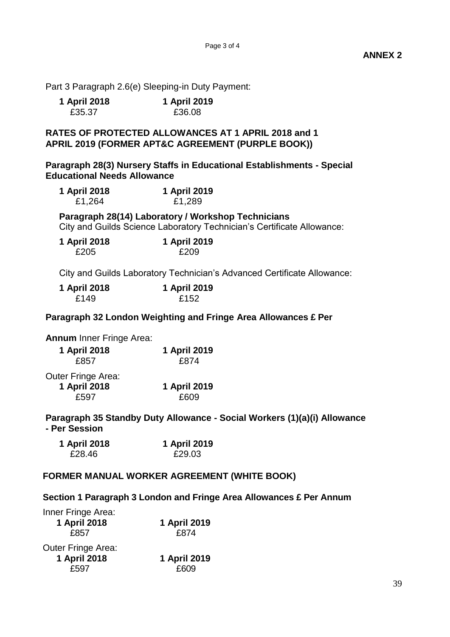**ANNEX 2**

Part 3 Paragraph 2.6(e) Sleeping-in Duty Payment:

| 1 April 2018 | 1 April 2019 |
|--------------|--------------|
| £35.37       | £36.08       |

### **RATES OF PROTECTED ALLOWANCES AT 1 APRIL 2018 and 1 APRIL 2019 (FORMER APT&C AGREEMENT (PURPLE BOOK))**

**Paragraph 28(3) Nursery Staffs in Educational Establishments - Special Educational Needs Allowance**

| 1 April 2018 | 1 April 2019 |
|--------------|--------------|
| £1,264       | £1,289       |

**Paragraph 28(14) Laboratory / Workshop Technicians** City and Guilds Science Laboratory Technician's Certificate Allowance:

| 1 April 2018 | 1 April 2019 |
|--------------|--------------|
| £205         | £209         |

City and Guilds Laboratory Technician's Advanced Certificate Allowance:

| 1 April 2018 | 1 April 2019 |
|--------------|--------------|
| £149         | £152         |

**Paragraph 32 London Weighting and Fringe Area Allowances £ Per** 

**Annum** Inner Fringe Area:

| 1 April 2018 | 1 April 2019 |
|--------------|--------------|
| £857         | £874         |

| Outer Fringe Area: |              |
|--------------------|--------------|
| 1 April 2018       | 1 April 2019 |
| £597               | £609         |

**Paragraph 35 Standby Duty Allowance - Social Workers (1)(a)(i) Allowance - Per Session**

| 1 April 2018 | 1 April 2019 |
|--------------|--------------|
| £28.46       | £29.03       |

### **FORMER MANUAL WORKER AGREEMENT (WHITE BOOK)**

#### **Section 1 Paragraph 3 London and Fringe Area Allowances £ Per Annum**

| Inner Fringe Area:<br>1 April 2018<br>£857        | 1 April 2019<br>£874 |
|---------------------------------------------------|----------------------|
| <b>Outer Fringe Area:</b><br>1 April 2018<br>£597 | 1 April 2019<br>£609 |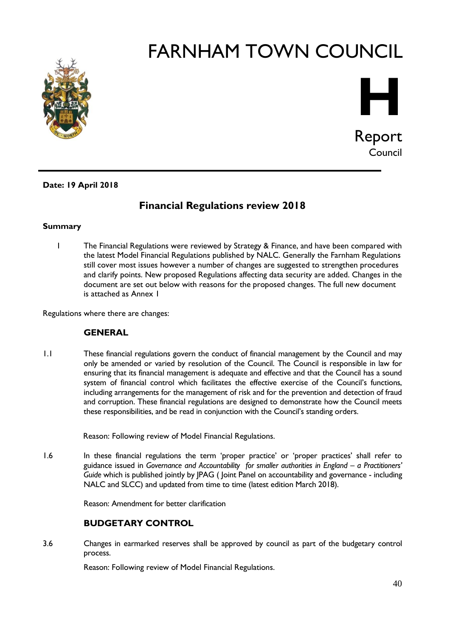



**Date: 19 April 2018**

# **Financial Regulations review 2018**

#### **Summary**

1 The Financial Regulations were reviewed by Strategy & Finance, and have been compared with the latest Model Financial Regulations published by NALC. Generally the Farnham Regulations still cover most issues however a number of changes are suggested to strengthen procedures and clarify points. New proposed Regulations affecting data security are added. Changes in the document are set out below with reasons for the proposed changes. The full new document is attached as Annex 1

Regulations where there are changes:

#### **GENERAL**

1.1 These financial regulations govern the conduct of financial management by the Council and may only be amended or varied by resolution of the Council. The Council is responsible in law for ensuring that its financial management is adequate and effective and that the Council has a sound system of financial control which facilitates the effective exercise of the Council's functions, including arrangements for the management of risk and for the prevention and detection of fraud and corruption. These financial regulations are designed to demonstrate how the Council meets these responsibilities, and be read in conjunction with the Council's standing orders.

Reason: Following review of Model Financial Regulations.

1.6 In these financial regulations the term 'proper practice' or 'proper practices' shall refer to guidance issued in Governance and Accountability for smaller authorities in England – a Practitioners' *Guide* which is published jointly by JPAG ( Joint Panel on accountability and governance - including NALC and SLCC) and updated from time to time (latest edition March 2018).

Reason: Amendment for better clarification

#### **BUDGETARY CONTROL**

3.6 Changes in earmarked reserves shall be approved by council as part of the budgetary control process.

Reason: Following review of Model Financial Regulations.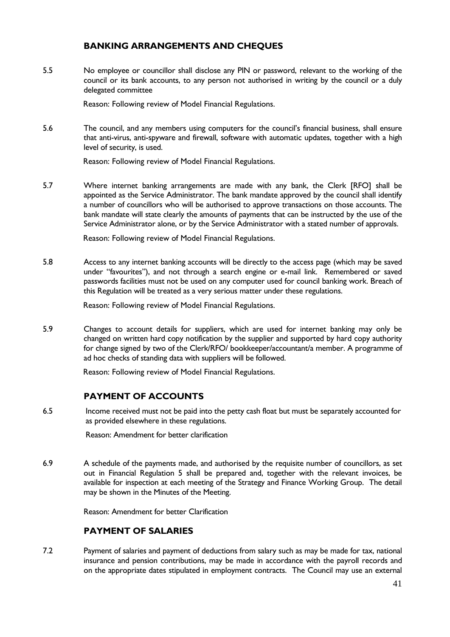### **BANKING ARRANGEMENTS AND CHEQUES**

5.5 No employee or councillor shall disclose any PIN or password, relevant to the working of the council or its bank accounts, to any person not authorised in writing by the council or a duly delegated committee

Reason: Following review of Model Financial Regulations.

5.6 The council, and any members using computers for the council's financial business, shall ensure that anti-virus, anti-spyware and firewall, software with automatic updates, together with a high level of security, is used.

Reason: Following review of Model Financial Regulations.

5.7 Where internet banking arrangements are made with any bank, the Clerk [RFO] shall be appointed as the Service Administrator. The bank mandate approved by the council shall identify a number of councillors who will be authorised to approve transactions on those accounts. The bank mandate will state clearly the amounts of payments that can be instructed by the use of the Service Administrator alone, or by the Service Administrator with a stated number of approvals.

Reason: Following review of Model Financial Regulations.

5.8 Access to any internet banking accounts will be directly to the access page (which may be saved under "favourites"), and not through a search engine or e-mail link. Remembered or saved passwords facilities must not be used on any computer used for council banking work. Breach of this Regulation will be treated as a very serious matter under these regulations.

Reason: Following review of Model Financial Regulations.

5.9 Changes to account details for suppliers, which are used for internet banking may only be changed on written hard copy notification by the supplier and supported by hard copy authority for change signed by two of the Clerk/RFO/ bookkeeper/accountant/a member. A programme of ad hoc checks of standing data with suppliers will be followed.

Reason: Following review of Model Financial Regulations.

#### **PAYMENT OF ACCOUNTS**

6.5 Income received must not be paid into the petty cash float but must be separately accounted for as provided elsewhere in these regulations.

Reason: Amendment for better clarification

6.9 A schedule of the payments made, and authorised by the requisite number of councillors, as set out in Financial Regulation 5 shall be prepared and, together with the relevant invoices, be available for inspection at each meeting of the Strategy and Finance Working Group. The detail may be shown in the Minutes of the Meeting.

Reason: Amendment for better Clarification

#### **PAYMENT OF SALARIES**

7.2 Payment of salaries and payment of deductions from salary such as may be made for tax, national insurance and pension contributions, may be made in accordance with the payroll records and on the appropriate dates stipulated in employment contracts. The Council may use an external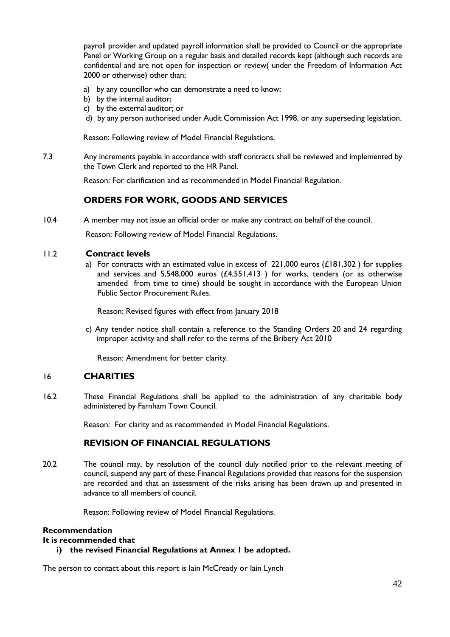payroll provider and updated payroll information shall be provided to Council or the appropriate Panel or Working Group on a regular basis and detailed records kept (although such records are confidential and are not open for inspection or review( under the Freedom of Information Act 2000 or otherwise) other than;

- a) by any councillor who can demonstrate a need to know;
- b) by the internal auditor;
- c) by the external auditor; or
- d) by any person authorised under Audit Commission Act 1998, or any superseding legislation.

Reason: Following review of Model Financial Regulations.

7.3 Any increments payable in accordance with staff contracts shall be reviewed and implemented by the Town Clerk and reported to the HR Panel.

Reason: For clarification and as recommended in Model Financial Regulation.

#### **ORDERS FOR WORK, GOODS AND SERVICES**

10.4 A member may not issue an official order or make any contract on behalf of the council.

Reason: Following review of Model Financial Regulations.

#### 11.2 **Contract levels**

a) For contracts with an estimated value in excess of  $221,000$  euros (£181,302) for supplies and services and 5,548,000 euros  $(£4,551,413)$  for works, tenders (or as otherwise amended from time to time) should be sought in accordance with the European Union Public Sector Procurement Rules.

Reason: Revised figures with effect from January 2018

c) Any tender notice shall contain a reference to the Standing Orders 20 and 24 regarding improper activity and shall refer to the terms of the Bribery Act 2010

Reason: Amendment for better clarity.

#### 16 **CHARITIES**

16.2 These Financial Regulations shall be applied to the administration of any charitable body administered by Farnham Town Council.

Reason: For clarity and as recommended in Model Financial Regulations.

#### **REVISION OF FINANCIAL REGULATIONS**

20.2 The council may, by resolution of the council duly notified prior to the relevant meeting of council, suspend any part of these Financial Regulations provided that reasons for the suspension are recorded and that an assessment of the risks arising has been drawn up and presented in advance to all members of council.

Reason: Following review of Model Financial Regulations.

#### **Recommendation**

#### **It is recommended that**

#### **i) the revised Financial Regulations at Annex 1 be adopted.**

The person to contact about this report is lain McCready or lain Lynch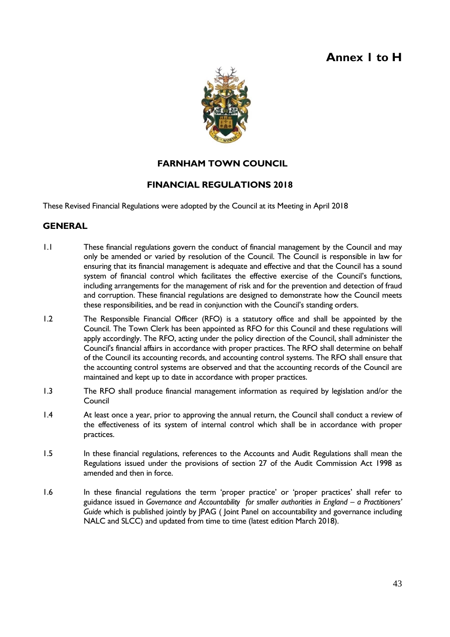# **Annex 1 to H**



# **FARNHAM TOWN COUNCIL**

### **FINANCIAL REGULATIONS 2018**

These Revised Financial Regulations were adopted by the Council at its Meeting in April 2018

#### **GENERAL**

- 1.1 These financial regulations govern the conduct of financial management by the Council and may only be amended or varied by resolution of the Council. The Council is responsible in law for ensuring that its financial management is adequate and effective and that the Council has a sound system of financial control which facilitates the effective exercise of the Council's functions, including arrangements for the management of risk and for the prevention and detection of fraud and corruption. These financial regulations are designed to demonstrate how the Council meets these responsibilities, and be read in conjunction with the Council's standing orders.
- 1.2 The Responsible Financial Officer (RFO) is a statutory office and shall be appointed by the Council. The Town Clerk has been appointed as RFO for this Council and these regulations will apply accordingly. The RFO, acting under the policy direction of the Council, shall administer the Council's financial affairs in accordance with proper practices. The RFO shall determine on behalf of the Council its accounting records, and accounting control systems. The RFO shall ensure that the accounting control systems are observed and that the accounting records of the Council are maintained and kept up to date in accordance with proper practices.
- 1.3 The RFO shall produce financial management information as required by legislation and/or the Council
- 1.4 At least once a year, prior to approving the annual return, the Council shall conduct a review of the effectiveness of its system of internal control which shall be in accordance with proper practices.
- 1.5 In these financial regulations, references to the Accounts and Audit Regulations shall mean the Regulations issued under the provisions of section 27 of the Audit Commission Act 1998 as amended and then in force.
- 1.6 In these financial regulations the term 'proper practice' or 'proper practices' shall refer to guidance issued in Governance and Accountability for smaller authorities in England - a Practitioners' *Guide* which is published jointly by JPAG ( Joint Panel on accountability and governance including NALC and SLCC) and updated from time to time (latest edition March 2018).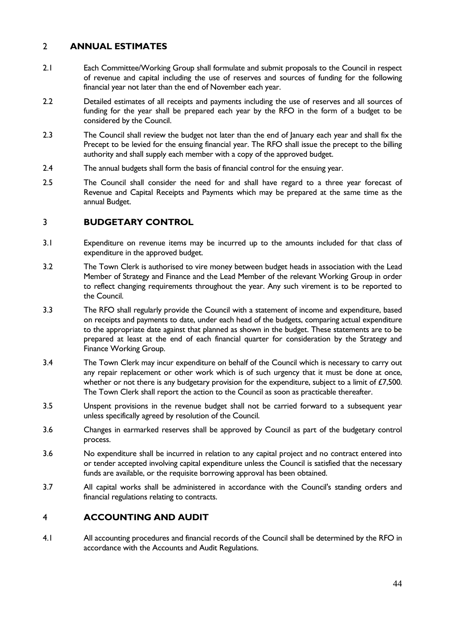### 2 **ANNUAL ESTIMATES**

- 2.1 Each Committee/Working Group shall formulate and submit proposals to the Council in respect of revenue and capital including the use of reserves and sources of funding for the following financial year not later than the end of November each year.
- 2.2 Detailed estimates of all receipts and payments including the use of reserves and all sources of funding for the year shall be prepared each year by the RFO in the form of a budget to be considered by the Council.
- 2.3 The Council shall review the budget not later than the end of January each year and shall fix the Precept to be levied for the ensuing financial year. The RFO shall issue the precept to the billing authority and shall supply each member with a copy of the approved budget.
- 2.4 The annual budgets shall form the basis of financial control for the ensuing year.
- 2.5 The Council shall consider the need for and shall have regard to a three year forecast of Revenue and Capital Receipts and Payments which may be prepared at the same time as the annual Budget.

#### 3 **BUDGETARY CONTROL**

- 3.1 Expenditure on revenue items may be incurred up to the amounts included for that class of expenditure in the approved budget.
- 3.2 The Town Clerk is authorised to vire money between budget heads in association with the Lead Member of Strategy and Finance and the Lead Member of the relevant Working Group in order to reflect changing requirements throughout the year. Any such virement is to be reported to the Council.
- 3.3 The RFO shall regularly provide the Council with a statement of income and expenditure, based on receipts and payments to date, under each head of the budgets, comparing actual expenditure to the appropriate date against that planned as shown in the budget. These statements are to be prepared at least at the end of each financial quarter for consideration by the Strategy and Finance Working Group.
- 3.4 The Town Clerk may incur expenditure on behalf of the Council which is necessary to carry out any repair replacement or other work which is of such urgency that it must be done at once, whether or not there is any budgetary provision for the expenditure, subject to a limit of £7,500. The Town Clerk shall report the action to the Council as soon as practicable thereafter.
- 3.5 Unspent provisions in the revenue budget shall not be carried forward to a subsequent year unless specifically agreed by resolution of the Council.
- 3.6 Changes in earmarked reserves shall be approved by Council as part of the budgetary control process.
- 3.6 No expenditure shall be incurred in relation to any capital project and no contract entered into or tender accepted involving capital expenditure unless the Council is satisfied that the necessary funds are available, or the requisite borrowing approval has been obtained.
- 3.7 All capital works shall be administered in accordance with the Council's standing orders and financial regulations relating to contracts.

#### 4 **ACCOUNTING AND AUDIT**

4.1 All accounting procedures and financial records of the Council shall be determined by the RFO in accordance with the Accounts and Audit Regulations.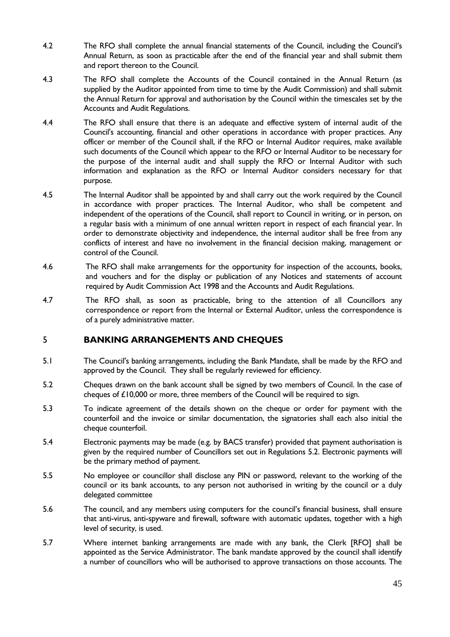- 4.2 The RFO shall complete the annual financial statements of the Council, including the Council's Annual Return, as soon as practicable after the end of the financial year and shall submit them and report thereon to the Council.
- 4.3 The RFO shall complete the Accounts of the Council contained in the Annual Return (as supplied by the Auditor appointed from time to time by the Audit Commission) and shall submit the Annual Return for approval and authorisation by the Council within the timescales set by the Accounts and Audit Regulations.
- 4.4 The RFO shall ensure that there is an adequate and effective system of internal audit of the Council's accounting, financial and other operations in accordance with proper practices. Any officer or member of the Council shall, if the RFO or Internal Auditor requires, make available such documents of the Council which appear to the RFO or Internal Auditor to be necessary for the purpose of the internal audit and shall supply the RFO or Internal Auditor with such information and explanation as the RFO or Internal Auditor considers necessary for that purpose.
- 4.5 The Internal Auditor shall be appointed by and shall carry out the work required by the Council in accordance with proper practices. The Internal Auditor, who shall be competent and independent of the operations of the Council, shall report to Council in writing, or in person, on a regular basis with a minimum of one annual written report in respect of each financial year. In order to demonstrate objectivity and independence, the internal auditor shall be free from any conflicts of interest and have no involvement in the financial decision making, management or control of the Council.
- 4.6 The RFO shall make arrangements for the opportunity for inspection of the accounts, books, and vouchers and for the display or publication of any Notices and statements of account required by Audit Commission Act 1998 and the Accounts and Audit Regulations.
- 4.7 The RFO shall, as soon as practicable, bring to the attention of all Councillors any correspondence or report from the Internal or External Auditor, unless the correspondence is of a purely administrative matter.

# 5 **BANKING ARRANGEMENTS AND CHEQUES**

- 5.1 The Council's banking arrangements, including the Bank Mandate, shall be made by the RFO and approved by the Council. They shall be regularly reviewed for efficiency.
- 5.2 Cheques drawn on the bank account shall be signed by two members of Council. In the case of cheques of £10,000 or more, three members of the Council will be required to sign.
- 5.3 To indicate agreement of the details shown on the cheque or order for payment with the counterfoil and the invoice or similar documentation, the signatories shall each also initial the cheque counterfoil.
- 5.4 Electronic payments may be made (e.g. by BACS transfer) provided that payment authorisation is given by the required number of Councillors set out in Regulations 5.2. Electronic payments will be the primary method of payment.
- 5.5 No employee or councillor shall disclose any PIN or password, relevant to the working of the council or its bank accounts, to any person not authorised in writing by the council or a duly delegated committee
- 5.6 The council, and any members using computers for the council's financial business, shall ensure that anti-virus, anti-spyware and firewall, software with automatic updates, together with a high level of security, is used.
- 5.7 Where internet banking arrangements are made with any bank, the Clerk [RFO] shall be appointed as the Service Administrator. The bank mandate approved by the council shall identify a number of councillors who will be authorised to approve transactions on those accounts. The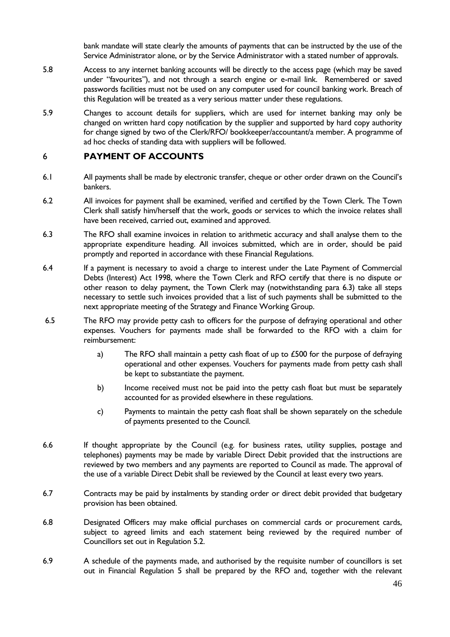bank mandate will state clearly the amounts of payments that can be instructed by the use of the Service Administrator alone, or by the Service Administrator with a stated number of approvals.

- 5.8 Access to any internet banking accounts will be directly to the access page (which may be saved under "favourites"), and not through a search engine or e-mail link. Remembered or saved passwords facilities must not be used on any computer used for council banking work. Breach of this Regulation will be treated as a very serious matter under these regulations.
- 5.9 Changes to account details for suppliers, which are used for internet banking may only be changed on written hard copy notification by the supplier and supported by hard copy authority for change signed by two of the Clerk/RFO/ bookkeeper/accountant/a member. A programme of ad hoc checks of standing data with suppliers will be followed.

#### 6 **PAYMENT OF ACCOUNTS**

- 6.1 All payments shall be made by electronic transfer, cheque or other order drawn on the Council's bankers.
- 6.2 All invoices for payment shall be examined, verified and certified by the Town Clerk. The Town Clerk shall satisfy him/herself that the work, goods or services to which the invoice relates shall have been received, carried out, examined and approved.
- 6.3 The RFO shall examine invoices in relation to arithmetic accuracy and shall analyse them to the appropriate expenditure heading. All invoices submitted, which are in order, should be paid promptly and reported in accordance with these Financial Regulations.
- 6.4 If a payment is necessary to avoid a charge to interest under the Late Payment of Commercial Debts (Interest) Act 1998, where the Town Clerk and RFO certify that there is no dispute or other reason to delay payment, the Town Clerk may (notwithstanding para 6.3) take all steps necessary to settle such invoices provided that a list of such payments shall be submitted to the next appropriate meeting of the Strategy and Finance Working Group.
- 6.5 The RFO may provide petty cash to officers for the purpose of defraying operational and other expenses. Vouchers for payments made shall be forwarded to the RFO with a claim for reimbursement:
	- a) The RFO shall maintain a petty cash float of up to  $\pounds$ 500 for the purpose of defraying operational and other expenses. Vouchers for payments made from petty cash shall be kept to substantiate the payment.
	- b) Income received must not be paid into the petty cash float but must be separately accounted for as provided elsewhere in these regulations.
	- c) Payments to maintain the petty cash float shall be shown separately on the schedule of payments presented to the Council.
- 6.6 If thought appropriate by the Council (e.g. for business rates, utility supplies, postage and telephones) payments may be made by variable Direct Debit provided that the instructions are reviewed by two members and any payments are reported to Council as made. The approval of the use of a variable Direct Debit shall be reviewed by the Council at least every two years.
- 6.7 Contracts may be paid by instalments by standing order or direct debit provided that budgetary provision has been obtained.
- 6.8 Designated Officers may make official purchases on commercial cards or procurement cards, subject to agreed limits and each statement being reviewed by the required number of Councillors set out in Regulation 5.2.
- 6.9 A schedule of the payments made, and authorised by the requisite number of councillors is set out in Financial Regulation 5 shall be prepared by the RFO and, together with the relevant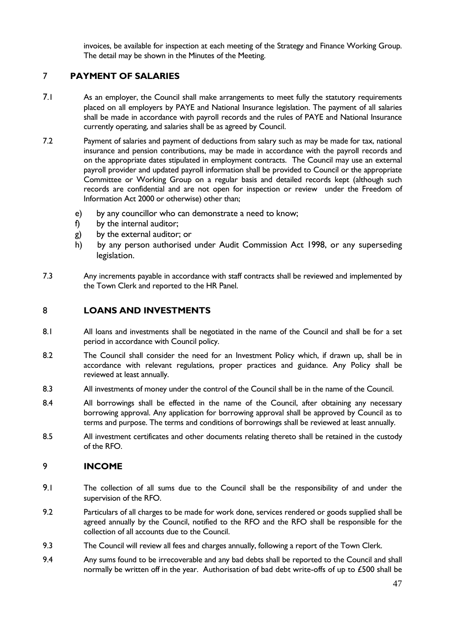invoices, be available for inspection at each meeting of the Strategy and Finance Working Group. The detail may be shown in the Minutes of the Meeting.

### 7 **PAYMENT OF SALARIES**

- 7.1 As an employer, the Council shall make arrangements to meet fully the statutory requirements placed on all employers by PAYE and National Insurance legislation. The payment of all salaries shall be made in accordance with payroll records and the rules of PAYE and National Insurance currently operating, and salaries shall be as agreed by Council.
- 7.2 Payment of salaries and payment of deductions from salary such as may be made for tax, national insurance and pension contributions, may be made in accordance with the payroll records and on the appropriate dates stipulated in employment contracts. The Council may use an external payroll provider and updated payroll information shall be provided to Council or the appropriate Committee or Working Group on a regular basis and detailed records kept (although such records are confidential and are not open for inspection or review under the Freedom of Information Act 2000 or otherwise) other than;
	- e) by any councillor who can demonstrate a need to know;
	- f) by the internal auditor;
	- g) by the external auditor; or
	- h) by any person authorised under Audit Commission Act 1998, or any superseding legislation.
- 7.3 Any increments payable in accordance with staff contracts shall be reviewed and implemented by the Town Clerk and reported to the HR Panel.

#### 8 **LOANS AND INVESTMENTS**

- 8.1 All loans and investments shall be negotiated in the name of the Council and shall be for a set period in accordance with Council policy.
- 8.2 The Council shall consider the need for an Investment Policy which, if drawn up, shall be in accordance with relevant regulations, proper practices and guidance. Any Policy shall be reviewed at least annually.
- 8.3 All investments of money under the control of the Council shall be in the name of the Council.
- 8.4 All borrowings shall be effected in the name of the Council, after obtaining any necessary borrowing approval. Any application for borrowing approval shall be approved by Council as to terms and purpose. The terms and conditions of borrowings shall be reviewed at least annually.
- 8.5 All investment certificates and other documents relating thereto shall be retained in the custody of the RFO.

#### 9 **INCOME**

- 9.1 The collection of all sums due to the Council shall be the responsibility of and under the supervision of the RFO.
- 9.2 Particulars of all charges to be made for work done, services rendered or goods supplied shall be agreed annually by the Council, notified to the RFO and the RFO shall be responsible for the collection of all accounts due to the Council.
- 9.3 The Council will review all fees and charges annually, following a report of the Town Clerk.
- 9.4 Any sums found to be irrecoverable and any bad debts shall be reported to the Council and shall normally be written off in the year. Authorisation of bad debt write-offs of up to £500 shall be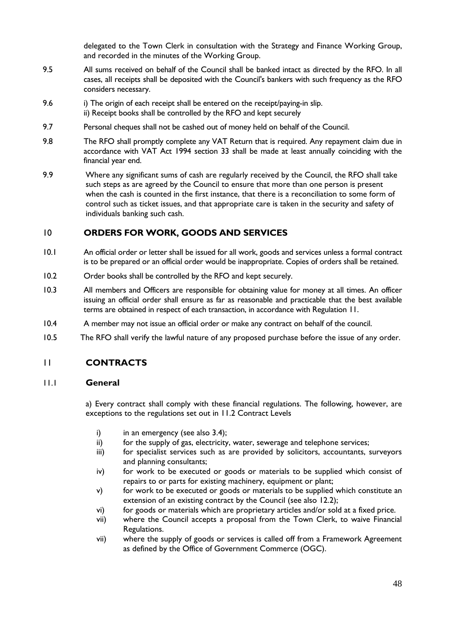delegated to the Town Clerk in consultation with the Strategy and Finance Working Group, and recorded in the minutes of the Working Group.

- 9.5 All sums received on behalf of the Council shall be banked intact as directed by the RFO. In all cases, all receipts shall be deposited with the Council's bankers with such frequency as the RFO considers necessary.
- 9.6 i) The origin of each receipt shall be entered on the receipt/paying-in slip. ii) Receipt books shall be controlled by the RFO and kept securely
- 9.7 Personal cheques shall not be cashed out of money held on behalf of the Council.
- 9.8 The RFO shall promptly complete any VAT Return that is required. Any repayment claim due in accordance with VAT Act 1994 section 33 shall be made at least annually coinciding with the financial year end.
- 9.9 Where any significant sums of cash are regularly received by the Council, the RFO shall take such steps as are agreed by the Council to ensure that more than one person is present when the cash is counted in the first instance, that there is a reconciliation to some form of control such as ticket issues, and that appropriate care is taken in the security and safety of individuals banking such cash.

#### 10 **ORDERS FOR WORK, GOODS AND SERVICES**

- 10.1 An official order or letter shall be issued for all work, goods and services unless a formal contract is to be prepared or an official order would be inappropriate. Copies of orders shall be retained.
- 10.2 Order books shall be controlled by the RFO and kept securely.
- 10.3 All members and Officers are responsible for obtaining value for money at all times. An officer issuing an official order shall ensure as far as reasonable and practicable that the best available terms are obtained in respect of each transaction, in accordance with Regulation 11.
- 10.4 A member may not issue an official order or make any contract on behalf of the council.
- 10.5 The RFO shall verify the lawful nature of any proposed purchase before the issue of any order.

#### 11 **CONTRACTS**

#### 11.1 **General**

a) Every contract shall comply with these financial regulations. The following, however, are exceptions to the regulations set out in 11.2 Contract Levels

- i) in an emergency (see also  $3.4$ );
- ii) for the supply of gas, electricity, water, sewerage and telephone services;
- iii) for specialist services such as are provided by solicitors, accountants, surveyors and planning consultants;
- iv) for work to be executed or goods or materials to be supplied which consist of repairs to or parts for existing machinery, equipment or plant;
- v) for work to be executed or goods or materials to be supplied which constitute an extension of an existing contract by the Council (see also 12.2);
- vi) for goods or materials which are proprietary articles and/or sold at a fixed price.
- vii) where the Council accepts a proposal from the Town Clerk, to waive Financial Regulations.
- vii) where the supply of goods or services is called off from a Framework Agreement as defined by the Office of Government Commerce (OGC).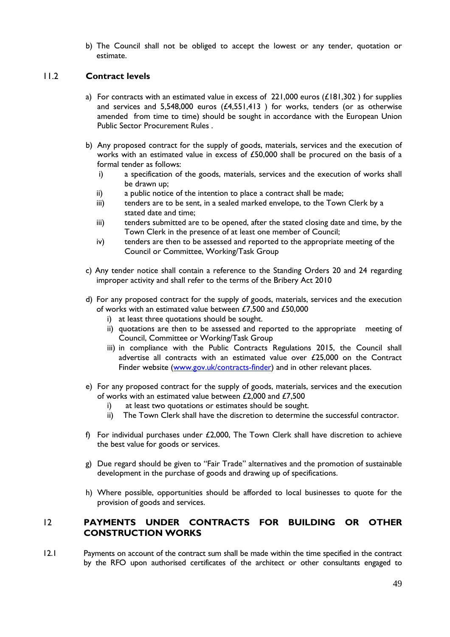b) The Council shall not be obliged to accept the lowest or any tender, quotation or estimate.

#### 11.2 **Contract levels**

- a) For contracts with an estimated value in excess of  $221,000$  euros (£181,302) for supplies and services and 5,548,000 euros (£4,551,413 ) for works, tenders (or as otherwise amended from time to time) should be sought in accordance with the European Union Public Sector Procurement Rules .
- b) Any proposed contract for the supply of goods, materials, services and the execution of works with an estimated value in excess of  $£50,000$  shall be procured on the basis of a formal tender as follows:
	- i) a specification of the goods, materials, services and the execution of works shall be drawn up;
	- ii) a public notice of the intention to place a contract shall be made;
	- iii) tenders are to be sent, in a sealed marked envelope, to the Town Clerk by a stated date and time;
	- iii) tenders submitted are to be opened, after the stated closing date and time, by the Town Clerk in the presence of at least one member of Council;
	- iv) tenders are then to be assessed and reported to the appropriate meeting of the Council or Committee, Working/Task Group
- c) Any tender notice shall contain a reference to the Standing Orders 20 and 24 regarding improper activity and shall refer to the terms of the Bribery Act 2010
- d) For any proposed contract for the supply of goods, materials, services and the execution of works with an estimated value between £7,500 and £50,000
	- i) at least three quotations should be sought.
	- ii) quotations are then to be assessed and reported to the appropriate meeting of Council, Committee or Working/Task Group
	- iii) in compliance with the Public Contracts Regulations 2015, the Council shall advertise all contracts with an estimated value over £25,000 on the Contract Finder website [\(www.gov.uk/contracts-finder\)](https://www.gov.uk/contracts-finder) and in other relevant places.
- e) For any proposed contract for the supply of goods, materials, services and the execution of works with an estimated value between £2,000 and £7,500
	- i) at least two quotations or estimates should be sought.
	- ii) The Town Clerk shall have the discretion to determine the successful contractor.
- f) For individual purchases under  $£2,000$ , The Town Clerk shall have discretion to achieve the best value for goods or services.
- g) Due regard should be given to "Fair Trade" alternatives and the promotion of sustainable development in the purchase of goods and drawing up of specifications.
- h) Where possible, opportunities should be afforded to local businesses to quote for the provision of goods and services.

#### 12 **PAYMENTS UNDER CONTRACTS FOR BUILDING OR OTHER CONSTRUCTION WORKS**

12.1 Payments on account of the contract sum shall be made within the time specified in the contract by the RFO upon authorised certificates of the architect or other consultants engaged to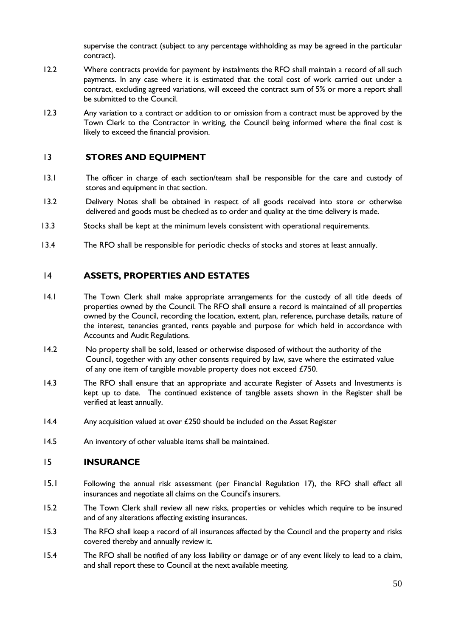supervise the contract (subject to any percentage withholding as may be agreed in the particular contract).

- 12.2 Where contracts provide for payment by instalments the RFO shall maintain a record of all such payments. In any case where it is estimated that the total cost of work carried out under a contract, excluding agreed variations, will exceed the contract sum of 5% or more a report shall be submitted to the Council.
- 12.3 Any variation to a contract or addition to or omission from a contract must be approved by the Town Clerk to the Contractor in writing, the Council being informed where the final cost is likely to exceed the financial provision.

#### 13 **STORES AND EQUIPMENT**

- 13.1 The officer in charge of each section/team shall be responsible for the care and custody of stores and equipment in that section.
- 13.2 Delivery Notes shall be obtained in respect of all goods received into store or otherwise delivered and goods must be checked as to order and quality at the time delivery is made.
- 13.3 Stocks shall be kept at the minimum levels consistent with operational requirements.
- 13.4 The RFO shall be responsible for periodic checks of stocks and stores at least annually.

#### 14 **ASSETS, PROPERTIES AND ESTATES**

- 14.1 The Town Clerk shall make appropriate arrangements for the custody of all title deeds of properties owned by the Council. The RFO shall ensure a record is maintained of all properties owned by the Council, recording the location, extent, plan, reference, purchase details, nature of the interest, tenancies granted, rents payable and purpose for which held in accordance with Accounts and Audit Regulations.
- 14.2 No property shall be sold, leased or otherwise disposed of without the authority of the Council, together with any other consents required by law, save where the estimated value of any one item of tangible movable property does not exceed £750.
- 14.3 The RFO shall ensure that an appropriate and accurate Register of Assets and Investments is kept up to date. The continued existence of tangible assets shown in the Register shall be verified at least annually.
- 14.4 Any acquisition valued at over £250 should be included on the Asset Register
- 14.5 An inventory of other valuable items shall be maintained.

#### 15 **INSURANCE**

- 15.1 Following the annual risk assessment (per Financial Regulation 17), the RFO shall effect all insurances and negotiate all claims on the Council's insurers.
- 15.2 The Town Clerk shall review all new risks, properties or vehicles which require to be insured and of any alterations affecting existing insurances.
- 15.3 The RFO shall keep a record of all insurances affected by the Council and the property and risks covered thereby and annually review it.
- 15.4 The RFO shall be notified of any loss liability or damage or of any event likely to lead to a claim, and shall report these to Council at the next available meeting.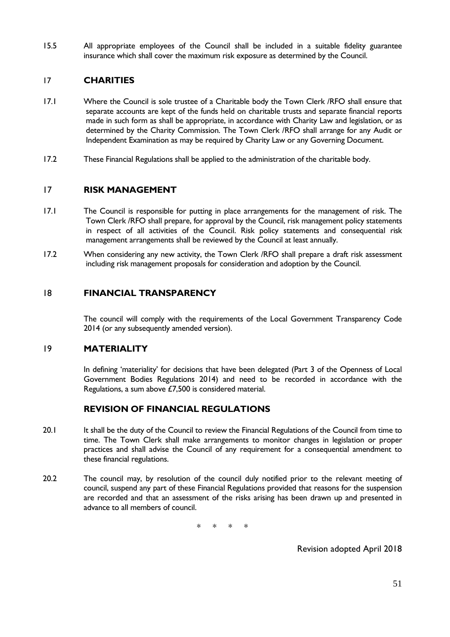15.5 All appropriate employees of the Council shall be included in a suitable fidelity guarantee insurance which shall cover the maximum risk exposure as determined by the Council.

#### 17 **CHARITIES**

- 17.1 Where the Council is sole trustee of a Charitable body the Town Clerk /RFO shall ensure that separate accounts are kept of the funds held on charitable trusts and separate financial reports made in such form as shall be appropriate, in accordance with Charity Law and legislation, or as determined by the Charity Commission. The Town Clerk /RFO shall arrange for any Audit or Independent Examination as may be required by Charity Law or any Governing Document.
- 17.2 These Financial Regulations shall be applied to the administration of the charitable body.

#### 17 **RISK MANAGEMENT**

- 17.1 The Council is responsible for putting in place arrangements for the management of risk. The Town Clerk /RFO shall prepare, for approval by the Council, risk management policy statements in respect of all activities of the Council. Risk policy statements and consequential risk management arrangements shall be reviewed by the Council at least annually.
- 17.2 When considering any new activity, the Town Clerk /RFO shall prepare a draft risk assessment including risk management proposals for consideration and adoption by the Council.

#### 18 **FINANCIAL TRANSPARENCY**

The council will comply with the requirements of the Local Government Transparency Code 2014 (or any subsequently amended version).

#### 19 **MATERIALITY**

In defining 'materiality' for decisions that have been delegated (Part 3 of the Openness of Local Government Bodies Regulations 2014) and need to be recorded in accordance with the Regulations, a sum above £7,500 is considered material.

#### **REVISION OF FINANCIAL REGULATIONS**

- 20.1 It shall be the duty of the Council to review the Financial Regulations of the Council from time to time. The Town Clerk shall make arrangements to monitor changes in legislation or proper practices and shall advise the Council of any requirement for a consequential amendment to these financial regulations.
- 20.2 The council may, by resolution of the council duly notified prior to the relevant meeting of council, suspend any part of these Financial Regulations provided that reasons for the suspension are recorded and that an assessment of the risks arising has been drawn up and presented in advance to all members of council.

\* \* \* \*

Revision adopted April 2018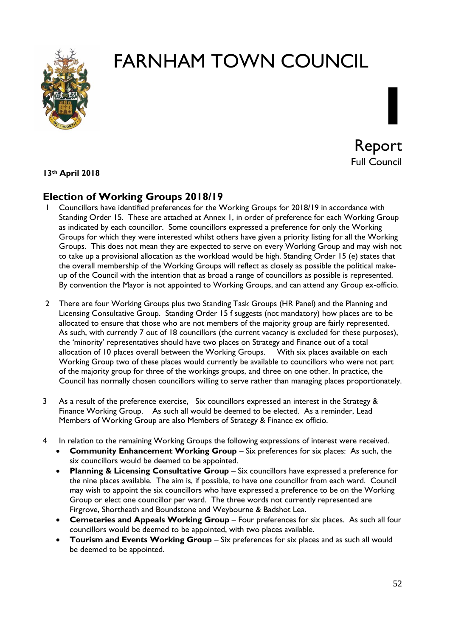



**I**

#### **13th April 2018**

# **Election of Working Groups 2018/19**

- 1 Councillors have identified preferences for the Working Groups for 2018/19 in accordance with Standing Order 15. These are attached at Annex 1, in order of preference for each Working Group as indicated by each councillor. Some councillors expressed a preference for only the Working Groups for which they were interested whilst others have given a priority listing for all the Working Groups. This does not mean they are expected to serve on every Working Group and may wish not to take up a provisional allocation as the workload would be high. Standing Order 15 (e) states that the overall membership of the Working Groups will reflect as closely as possible the political makeup of the Council with the intention that as broad a range of councillors as possible is represented. By convention the Mayor is not appointed to Working Groups, and can attend any Group ex-officio.
- 2 There are four Working Groups plus two Standing Task Groups (HR Panel) and the Planning and Licensing Consultative Group. Standing Order 15 f suggests (not mandatory) how places are to be allocated to ensure that those who are not members of the majority group are fairly represented. As such, with currently 7 out of 18 councillors (the current vacancy is excluded for these purposes), the 'minority' representatives should have two places on Strategy and Finance out of a total allocation of 10 places overall between the Working Groups. With six places available on each Working Group two of these places would currently be available to councillors who were not part of the majority group for three of the workings groups, and three on one other. In practice, the Council has normally chosen councillors willing to serve rather than managing places proportionately.
- 3 As a result of the preference exercise, Six councillors expressed an interest in the Strategy & Finance Working Group. As such all would be deemed to be elected. As a reminder, Lead Members of Working Group are also Members of Strategy & Finance ex officio.
- 4 In relation to the remaining Working Groups the following expressions of interest were received.
	- **Community Enhancement Working Group** Six preferences for six places: As such, the six councillors would be deemed to be appointed.
	- **Planning & Licensing Consultative Group** Six councillors have expressed a preference for the nine places available. The aim is, if possible, to have one councillor from each ward. Council may wish to appoint the six councillors who have expressed a preference to be on the Working Group or elect one councillor per ward. The three words not currently represented are Firgrove, Shortheath and Boundstone and Weybourne & Badshot Lea.
	- **Cemeteries and Appeals Working Group** Four preferences for six places. As such all four councillors would be deemed to be appointed, with two places available.
	- **Tourism and Events Working Group** Six preferences for six places and as such all would be deemed to be appointed.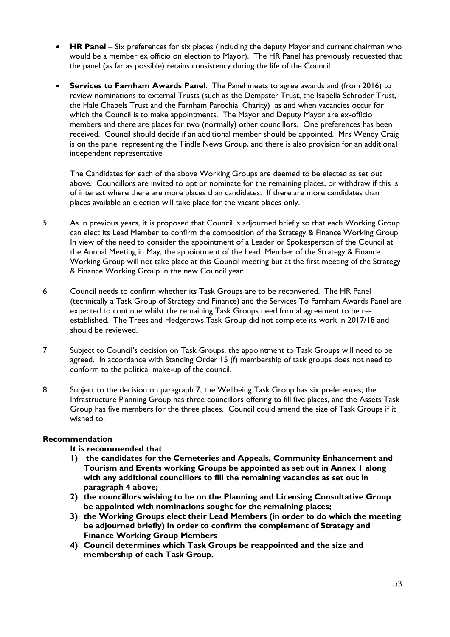- **HR Panel** Six preferences for six places (including the deputy Mayor and current chairman who would be a member ex officio on election to Mayor). The HR Panel has previously requested that the panel (as far as possible) retains consistency during the life of the Council.
- **Services to Farnham Awards Panel**. The Panel meets to agree awards and (from 2016) to review nominations to external Trusts (such as the Dempster Trust, the Isabella Schroder Trust, the Hale Chapels Trust and the Farnham Parochial Charity) as and when vacancies occur for which the Council is to make appointments. The Mayor and Deputy Mayor are ex-officio members and there are places for two (normally) other councillors. One preferences has been received. Council should decide if an additional member should be appointed. Mrs Wendy Craig is on the panel representing the Tindle News Group, and there is also provision for an additional independent representative.

The Candidates for each of the above Working Groups are deemed to be elected as set out above. Councillors are invited to opt or nominate for the remaining places, or withdraw if this is of interest where there are more places than candidates. If there are more candidates than places available an election will take place for the vacant places only.

- 5 As in previous years, it is proposed that Council is adjourned briefly so that each Working Group can elect its Lead Member to confirm the composition of the Strategy & Finance Working Group. In view of the need to consider the appointment of a Leader or Spokesperson of the Council at the Annual Meeting in May, the appointment of the Lead Member of the Strategy & Finance Working Group will not take place at this Council meeting but at the first meeting of the Strategy & Finance Working Group in the new Council year.
- 6 Council needs to confirm whether its Task Groups are to be reconvened. The HR Panel (technically a Task Group of Strategy and Finance) and the Services To Farnham Awards Panel are expected to continue whilst the remaining Task Groups need formal agreement to be reestablished. The Trees and Hedgerows Task Group did not complete its work in 2017/18 and should be reviewed.
- 7 Subject to Council's decision on Task Groups, the appointment to Task Groups will need to be agreed. In accordance with Standing Order 15 (f) membership of task groups does not need to conform to the political make-up of the council.
- 8 Subject to the decision on paragraph 7, the Wellbeing Task Group has six preferences; the Infrastructure Planning Group has three councillors offering to fill five places, and the Assets Task Group has five members for the three places. Council could amend the size of Task Groups if it wished to.

#### **Recommendation**

#### **It is recommended that**

- **1) the candidates for the Cemeteries and Appeals, Community Enhancement and Tourism and Events working Groups be appointed as set out in Annex 1 along with any additional councillors to fill the remaining vacancies as set out in paragraph 4 above;**
- **2) the councillors wishing to be on the Planning and Licensing Consultative Group be appointed with nominations sought for the remaining places;**
- **3) the Working Groups elect their Lead Members (in order to do which the meeting be adjourned briefly) in order to confirm the complement of Strategy and Finance Working Group Members**
- **4) Council determines which Task Groups be reappointed and the size and membership of each Task Group.**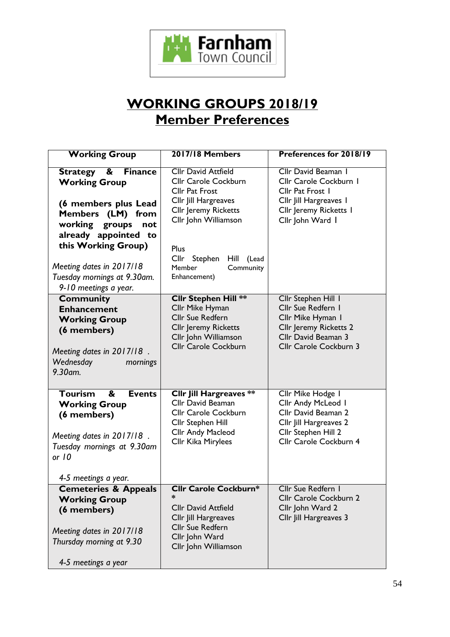

# **WORKING GROUPS 2018/19 Member Preferences**

| <b>Working Group</b>                                                                                                                                                                                                                                                       | <b>2017/18 Members</b>                                                                                                                                                                                                                     | Preferences for 2018/19                                                                                                                          |
|----------------------------------------------------------------------------------------------------------------------------------------------------------------------------------------------------------------------------------------------------------------------------|--------------------------------------------------------------------------------------------------------------------------------------------------------------------------------------------------------------------------------------------|--------------------------------------------------------------------------------------------------------------------------------------------------|
| <b>Strategy</b><br>&<br><b>Finance</b><br><b>Working Group</b><br>(6 members plus Lead<br>Members (LM) from<br>working<br>groups<br>not<br>already appointed to<br>this Working Group)<br>Meeting dates in 2017/18<br>Tuesday mornings at 9.30am.<br>9-10 meetings a year. | <b>Cllr David Attfield</b><br>Cllr Carole Cockburn<br><b>Cllr Pat Frost</b><br>Cllr Jill Hargreaves<br><b>Cllr Jeremy Ricketts</b><br>Cllr John Williamson<br>Plus<br>Cllr<br>Stephen<br>Hill (Lead<br>Member<br>Community<br>Enhancement) | Cllr David Beaman I<br>Cllr Carole Cockburn I<br>Cllr Pat Frost 1<br>Cllr Jill Hargreaves I<br>Cllr Jeremy Ricketts I<br>Cllr John Ward 1        |
| <b>Community</b><br><b>Enhancement</b><br><b>Working Group</b><br>(6 members)<br>Meeting dates in 2017/18.<br>Wednesday<br>mornings<br>9.30am.                                                                                                                             | <b>Cllr Stephen Hill **</b><br>Cllr Mike Hyman<br><b>Cllr Sue Redfern</b><br><b>Cllr Jeremy Ricketts</b><br>Cllr John Williamson<br>Cllr Carole Cockburn                                                                                   | Cllr Stephen Hill I<br>Cllr Sue Redfern I<br>Cllr Mike Hyman I<br><b>Cllr Jeremy Ricketts 2</b><br>Cllr David Beaman 3<br>Cllr Carole Cockburn 3 |
| Tourism<br>&<br><b>Events</b><br><b>Working Group</b><br>(6 members)<br>Meeting dates in 2017/18.<br>Tuesday mornings at 9.30am<br>or 10<br>4-5 meetings a year.                                                                                                           | <b>Cllr Jill Hargreaves **</b><br><b>Cllr David Beaman</b><br>Cllr Carole Cockburn<br>Cllr Stephen Hill<br><b>Cllr Andy Macleod</b><br>Cllr Kika Mirylees                                                                                  | Cllr Mike Hodge I<br>Cllr Andy McLeod I<br>Cllr David Beaman 2<br>Cllr Jill Hargreaves 2<br>Cllr Stephen Hill 2<br>Cllr Carole Cockburn 4        |
| <b>Cemeteries &amp; Appeals</b><br><b>Working Group</b><br>(6 members)<br>Meeting dates in 2017/18<br>Thursday morning at 9.30<br>4-5 meetings a year                                                                                                                      | <b>Cllr Carole Cockburn*</b><br><b>Cllr David Attfield</b><br>Cllr Jill Hargreaves<br><b>Cllr Sue Redfern</b><br>Cllr John Ward<br>Cllr John Williamson                                                                                    | Cllr Sue Redfern I<br>Cllr Carole Cockburn 2<br>Cllr John Ward 2<br>Cllr Jill Hargreaves 3                                                       |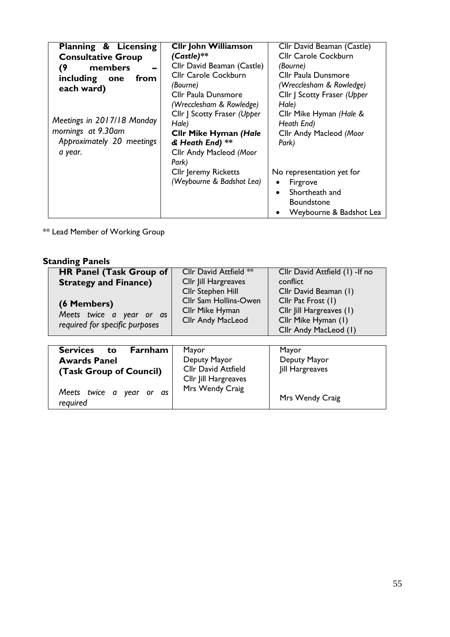| Planning & Licensing                                                                                                                             | <b>Cllr John Williamson</b>                                                                                                                                                                                                                                                                                         | Cllr David Beaman (Castle)                                                                                                                                                                                                                                                                         |
|--------------------------------------------------------------------------------------------------------------------------------------------------|---------------------------------------------------------------------------------------------------------------------------------------------------------------------------------------------------------------------------------------------------------------------------------------------------------------------|----------------------------------------------------------------------------------------------------------------------------------------------------------------------------------------------------------------------------------------------------------------------------------------------------|
| <b>Consultative Group</b>                                                                                                                        | $(Castle)$ **                                                                                                                                                                                                                                                                                                       | <b>Cllr Carole Cockburn</b>                                                                                                                                                                                                                                                                        |
| members<br>(9<br>including one<br>from<br>each ward)<br>Meetings in 2017/18 Monday<br>mornings at 9.30am<br>Approximately 20 meetings<br>a year. | Cllr David Beaman (Castle)<br><b>Cllr Carole Cockburn</b><br>(Bourne)<br>Cllr Paula Dunsmore<br>(Wrecclesham & Rowledge)<br>Cllr   Scotty Fraser (Upper<br>Hale)<br><b>Clir Mike Hyman (Hale</b><br>& Heath End) **<br>Cllr Andy Macleod (Moor<br>Park)<br><b>Cllr Jeremy Ricketts</b><br>(Weybourne & Badshot Lea) | (Bourne)<br><b>Cllr Paula Dunsmore</b><br>(Wrecclesham & Rowledge)<br>Cllr   Scotty Fraser (Upper<br>Hale)<br>Cllr Mike Hyman (Hale &<br>Heath End)<br>Cllr Andy Macleod (Moor<br>Park)<br>No representation yet for<br>Firgrove<br>Shortheath and<br><b>Boundstone</b><br>Weybourne & Badshot Lea |

\*\* Lead Member of Working Group

# **Standing Panels**

| <b>HR Panel (Task Group of</b> | Cllr David Attfield **   | Cllr David Attfield (1) -If no |
|--------------------------------|--------------------------|--------------------------------|
| <b>Strategy and Finance)</b>   | Cllr Jill Hargreaves     | conflict                       |
|                                | Cllr Stephen Hill        | Cllr David Beaman (1)          |
| (6 Members)                    | Cllr Sam Hollins-Owen    | Cllr Pat Frost (1)             |
| Meets twice a year or as       | Cllr Mike Hyman          | Cllr Jill Hargreaves (1)       |
|                                | <b>Cllr Andy MacLeod</b> | Cllr Mike Hyman (1)            |
| required for specific purposes |                          | Cllr Andy MacLeod (1)          |
|                                |                          |                                |

| <b>Services</b><br>Farnham<br>to        | Mayor                                              | Mayor           |
|-----------------------------------------|----------------------------------------------------|-----------------|
| <b>Awards Panel</b>                     | Deputy Mayor                                       | Deputy Mayor    |
| (Task Group of Council)                 | <b>Cllr David Attfield</b><br>Cllr Jill Hargreaves | Jill Hargreaves |
| Meets twice a year<br>or as<br>required | Mrs Wendy Craig                                    | Mrs Wendy Craig |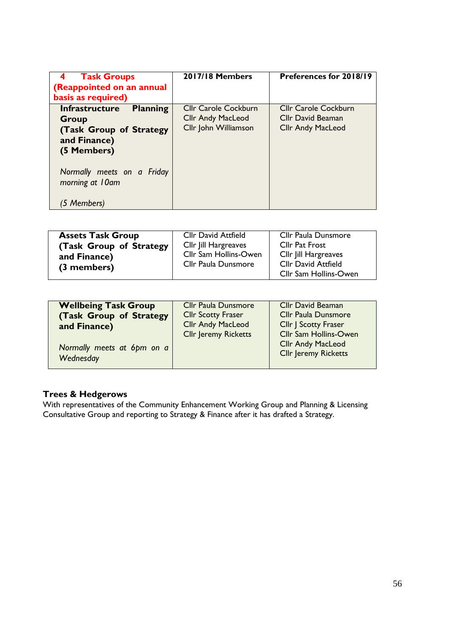| <b>Task Groups</b><br>(Reappointed on an annual<br>basis as required)                                                                                        | 2017/18 Members                                                                 | Preferences for 2018/19                                                      |
|--------------------------------------------------------------------------------------------------------------------------------------------------------------|---------------------------------------------------------------------------------|------------------------------------------------------------------------------|
| <b>Planning</b><br><b>Infrastructure</b><br>Group<br>(Task Group of Strategy<br>and Finance)<br>(5 Members)<br>Normally meets on a Friday<br>morning at 10am | <b>Cllr Carole Cockburn</b><br><b>Cllr Andy MacLeod</b><br>Cllr John Williamson | <b>Cllr Carole Cockburn</b><br>Cllr David Beaman<br><b>Cllr Andy MacLeod</b> |
| (5 Members)                                                                                                                                                  |                                                                                 |                                                                              |

| <b>Assets Task Group</b> | <b>Cllr David Attfield</b> | Cllr Paula Dunsmore        |
|--------------------------|----------------------------|----------------------------|
| (Task Group of Strategy  | Cllr Jill Hargreaves       | <b>Cllr Pat Frost</b>      |
| and Finance)             | Cllr Sam Hollins-Owen      | Cllr Jill Hargreaves       |
| (3 members)              | Cllr Paula Dunsmore        | <b>Cllr David Attfield</b> |
|                          |                            | Cllr Sam Hollins-Owen      |

| <b>Wellbeing Task Group</b>             | <b>Cllr Paula Dunsmore</b>  | <b>Cllr David Beaman</b>                                                         |
|-----------------------------------------|-----------------------------|----------------------------------------------------------------------------------|
| (Task Group of Strategy                 | <b>Cllr Scotty Fraser</b>   | <b>Cllr Paula Dunsmore</b>                                                       |
| and Finance)                            | <b>Cllr Andy MacLeod</b>    | Cllr J Scotty Fraser                                                             |
| Normally meets at 6pm on a<br>Wednesday | <b>Cllr Jeremy Ricketts</b> | Cllr Sam Hollins-Owen<br><b>Cllr Andy MacLeod</b><br><b>Cllr Jeremy Ricketts</b> |

### **Trees & Hedgerows**

With representatives of the Community Enhancement Working Group and Planning & Licensing Consultative Group and reporting to Strategy & Finance after it has drafted a Strategy.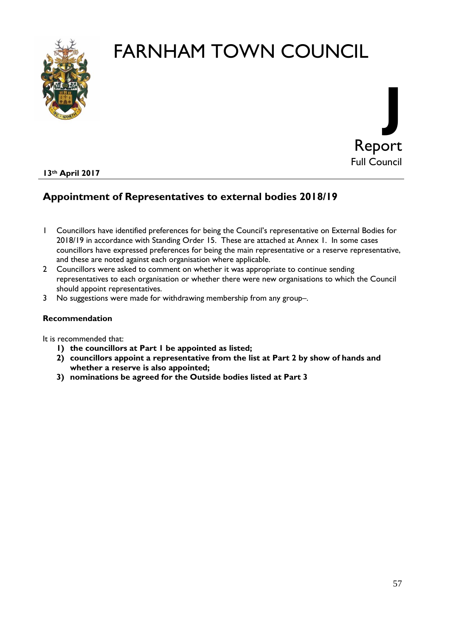



#### **13th April 2017**

# **Appointment of Representatives to external bodies 2018/19**

- 1 Councillors have identified preferences for being the Council's representative on External Bodies for 2018/19 in accordance with Standing Order 15. These are attached at Annex 1. In some cases councillors have expressed preferences for being the main representative or a reserve representative, and these are noted against each organisation where applicable.
- 2 Councillors were asked to comment on whether it was appropriate to continue sending representatives to each organisation or whether there were new organisations to which the Council should appoint representatives.
- 3 No suggestions were made for withdrawing membership from any group–.

#### **Recommendation**

It is recommended that:

- **1) the councillors at Part 1 be appointed as listed;**
- **2) councillors appoint a representative from the list at Part 2 by show of hands and whether a reserve is also appointed;**
- **3) nominations be agreed for the Outside bodies listed at Part 3**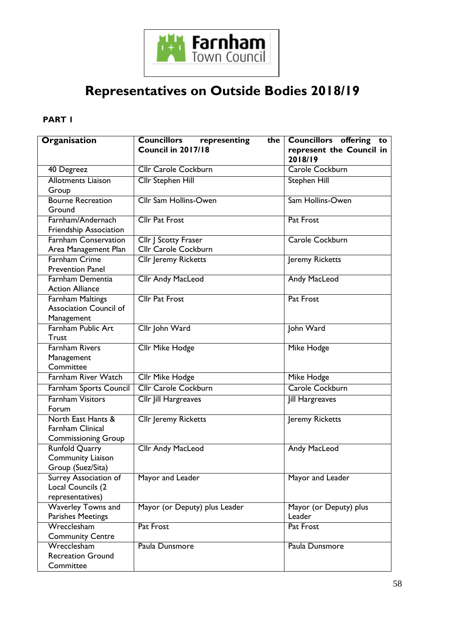

# **Representatives on Outside Bodies 2018/19**

### **PART 1**

| Organisation                                                           | <b>Councillors</b><br>representing<br>the<br>Council in 2017/18 | Councillors offering to<br>represent the Council in<br>2018/19 |
|------------------------------------------------------------------------|-----------------------------------------------------------------|----------------------------------------------------------------|
| 40 Degreez                                                             | <b>Cllr Carole Cockburn</b>                                     | Carole Cockburn                                                |
| <b>Allotments Liaison</b><br>Group                                     | <b>Cllr Stephen Hill</b>                                        | Stephen Hill                                                   |
| <b>Bourne Recreation</b><br>Ground                                     | Cllr Sam Hollins-Owen                                           | Sam Hollins-Owen                                               |
| Farnham/Andernach<br><b>Friendship Association</b>                     | <b>Cllr Pat Frost</b>                                           | Pat Frost                                                      |
| <b>Farnham Conservation</b><br>Area Management Plan                    | Cllr J Scotty Fraser<br>Cllr Carole Cockburn                    | Carole Cockburn                                                |
| <b>Farnham Crime</b><br><b>Prevention Panel</b>                        | Cllr Jeremy Ricketts                                            | Jeremy Ricketts                                                |
| Farnham Dementia<br><b>Action Alliance</b>                             | <b>Cllr Andy MacLeod</b>                                        | <b>Andy MacLeod</b>                                            |
| Farnham Maltings<br><b>Association Council of</b><br>Management        | <b>Cllr Pat Frost</b>                                           | Pat Frost                                                      |
| Farnham Public Art<br>Trust                                            | Cllr John Ward                                                  | John Ward                                                      |
| <b>Farnham Rivers</b><br>Management<br>Committee                       | Cllr Mike Hodge                                                 | Mike Hodge                                                     |
| <b>Farnham River Watch</b>                                             | <b>Cllr Mike Hodge</b>                                          | <b>Mike Hodge</b>                                              |
| Farnham Sports Council                                                 | <b>Cllr Carole Cockburn</b>                                     | Carole Cockburn                                                |
| <b>Farnham Visitors</b><br>Forum                                       | Cllr Jill Hargreaves                                            | Jill Hargreaves                                                |
| North East Hants &<br>Farnham Clinical<br><b>Commissioning Group</b>   | <b>Cllr</b> Jeremy Ricketts                                     | Jeremy Ricketts                                                |
| <b>Runfold Quarry</b><br><b>Community Liaison</b><br>Group (Suez/Sita) | Cllr Andy MacLeod                                               | Andy MacLeod                                                   |
| Surrey Association of<br>Local Councils (2<br>representatives)         | Mayor and Leader                                                | Mayor and Leader                                               |
| <b>Waverley Towns and</b><br>Parishes Meetings                         | Mayor (or Deputy) plus Leader                                   | Mayor (or Deputy) plus<br>Leader                               |
| Wrecclesham<br><b>Community Centre</b>                                 | Pat Frost                                                       | Pat Frost                                                      |
| Wrecclesham<br><b>Recreation Ground</b><br>Committee                   | Paula Dunsmore                                                  | Paula Dunsmore                                                 |